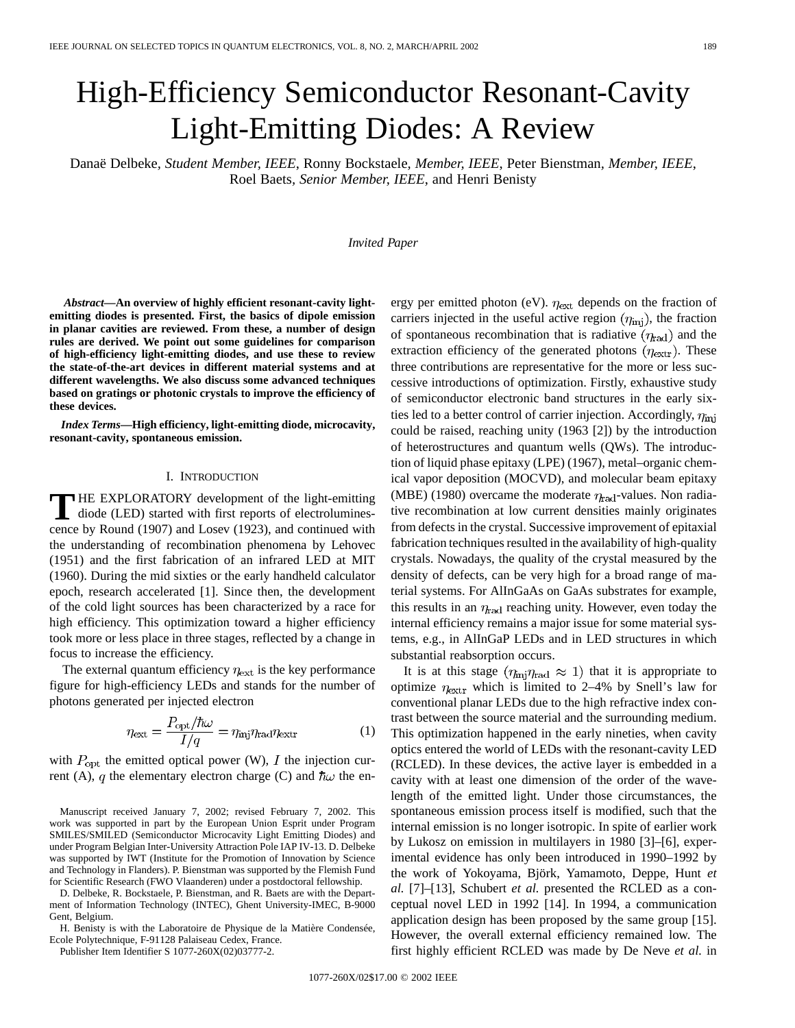# High-Efficiency Semiconductor Resonant-Cavity Light-Emitting Diodes: A Review

Danaë Delbeke*, Student Member, IEEE*, Ronny Bockstaele*, Member, IEEE*, Peter Bienstman*, Member, IEEE*, Roel Baets*, Senior Member, IEEE*, and Henri Benisty

# *Invited Paper*

*Abstract—***An overview of highly efficient resonant-cavity lightemitting diodes is presented. First, the basics of dipole emission in planar cavities are reviewed. From these, a number of design rules are derived. We point out some guidelines for comparison of high-efficiency light-emitting diodes, and use these to review the state-of-the-art devices in different material systems and at different wavelengths. We also discuss some advanced techniques based on gratings or photonic crystals to improve the efficiency of these devices.**

*Index Terms—***High efficiency, light-emitting diode, microcavity, resonant-cavity, spontaneous emission.**

## I. INTRODUCTION

**T** HE EXPLORATORY development of the light-emitting diode (LED) started with first reports of electroluminescence by Round (1907) and Losev (1923), and continued with the understanding of recombination phenomena by Lehovec (1951) and the first fabrication of an infrared LED at MIT (1960). During the mid sixties or the early handheld calculator epoch, research accelerated [1]. Since then, the development of the cold light sources has been characterized by a race for high efficiency. This optimization toward a higher efficiency took more or less place in three stages, reflected by a change in focus to increase the efficiency.

The external quantum efficiency  $\eta_{\text{ext}}$  is the key performance figure for high-efficiency LEDs and stands for the number of photons generated per injected electron

$$
\eta_{\text{ext}} = \frac{P_{\text{opt}}/\hbar\omega}{I/q} = \eta_{\text{inj}}\eta_{\text{rad}}\eta_{\text{extr}} \tag{1}
$$

with  $P_{\text{opt}}$  the emitted optical power (W), I the injection current (A), q the elementary electron charge (C) and  $\hbar\omega$  the en-

D. Delbeke, R. Bockstaele, P. Bienstman, and R. Baets are with the Department of Information Technology (INTEC), Ghent University-IMEC, B-9000 Gent, Belgium.

H. Benisty is with the Laboratoire de Physique de la Matière Condensée, Ecole Polytechnique, F-91128 Palaiseau Cedex, France.

Publisher Item Identifier S 1077-260X(02)03777-2.

ergy per emitted photon (eV).  $\eta_{\text{ext}}$  depends on the fraction of carriers injected in the useful active region  $(\eta_{\text{inj}})$ , the fraction of spontaneous recombination that is radiative  $(\eta_{rad})$  and the extraction efficiency of the generated photons  $(\eta_{\text{extr}})$ . These three contributions are representative for the more or less successive introductions of optimization. Firstly, exhaustive study of semiconductor electronic band structures in the early sixties led to a better control of carrier injection. Accordingly,  $\eta_{\text{ini}}$ could be raised, reaching unity (1963 [2]) by the introduction of heterostructures and quantum wells (QWs). The introduction of liquid phase epitaxy (LPE) (1967), metal–organic chemical vapor deposition (MOCVD), and molecular beam epitaxy (MBE) (1980) overcame the moderate  $\eta_{\text{rad}}$ -values. Non radiative recombination at low current densities mainly originates from defects in the crystal. Successive improvement of epitaxial fabrication techniques resulted in the availability of high-quality crystals. Nowadays, the quality of the crystal measured by the density of defects, can be very high for a broad range of material systems. For AlInGaAs on GaAs substrates for example, this results in an  $\eta_{rad}$  reaching unity. However, even today the internal efficiency remains a major issue for some material systems, e.g., in AlInGaP LEDs and in LED structures in which substantial reabsorption occurs.

It is at this stage  $(\eta_{\text{inj}} \eta_{\text{rad}} \approx 1)$  that it is appropriate to optimize  $\eta_{\text{extr}}$  which is limited to 2–4% by Snell's law for conventional planar LEDs due to the high refractive index contrast between the source material and the surrounding medium. This optimization happened in the early nineties, when cavity optics entered the world of LEDs with the resonant-cavity LED (RCLED). In these devices, the active layer is embedded in a cavity with at least one dimension of the order of the wavelength of the emitted light. Under those circumstances, the spontaneous emission process itself is modified, such that the internal emission is no longer isotropic. In spite of earlier work by Lukosz on emission in multilayers in 1980 [3]–[6], experimental evidence has only been introduced in 1990–1992 by the work of Yokoyama, Björk, Yamamoto, Deppe, Hunt *et al.* [7]–[13], Schubert *et al.* presented the RCLED as a conceptual novel LED in 1992 [14]. In 1994, a communication application design has been proposed by the same group [15]. However, the overall external efficiency remained low. The first highly efficient RCLED was made by De Neve *et al.* in

Manuscript received January 7, 2002; revised February 7, 2002. This work was supported in part by the European Union Esprit under Program SMILES/SMILED (Semiconductor Microcavity Light Emitting Diodes) and under Program Belgian Inter-University Attraction Pole IAP IV-13. D. Delbeke was supported by IWT (Institute for the Promotion of Innovation by Science and Technology in Flanders). P. Bienstman was supported by the Flemish Fund for Scientific Research (FWO Vlaanderen) under a postdoctoral fellowship.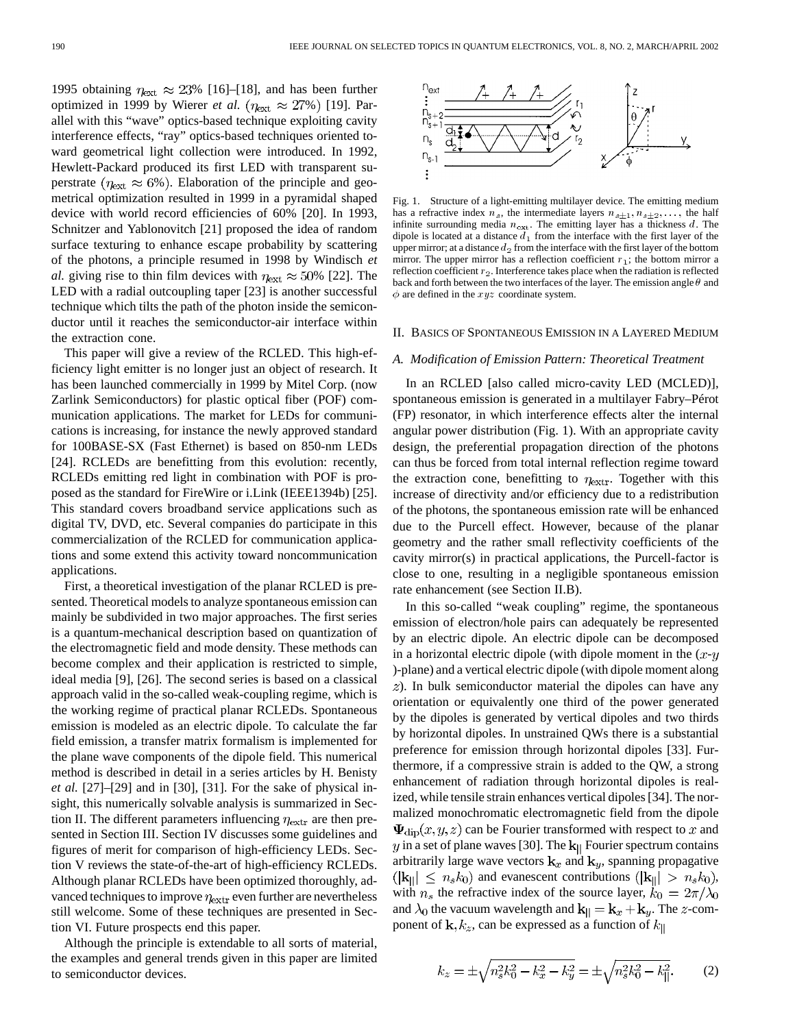1995 obtaining  $\eta_{\text{ext}} \approx 23\%$  [16]–[18], and has been further optimized in 1999 by Wierer *et al.* ( $\eta_{\text{ext}} \approx 27\%$ ) [19]. Parallel with this "wave" optics-based technique exploiting cavity interference effects, "ray" optics-based techniques oriented toward geometrical light collection were introduced. In 1992, Hewlett-Packard produced its first LED with transparent superstrate ( $\eta_{\text{ext}} \approx 6\%$ ). Elaboration of the principle and geometrical optimization resulted in 1999 in a pyramidal shaped device with world record efficiencies of 60% [20]. In 1993, Schnitzer and Yablonovitch [21] proposed the idea of random surface texturing to enhance escape probability by scattering of the photons, a principle resumed in 1998 by Windisch *et al.* giving rise to thin film devices with  $\eta_{\text{ext}} \approx 50\%$  [22]. The LED with a radial outcoupling taper [23] is another successful technique which tilts the path of the photon inside the semiconductor until it reaches the semiconductor-air interface within the extraction cone.

This paper will give a review of the RCLED. This high-efficiency light emitter is no longer just an object of research. It has been launched commercially in 1999 by Mitel Corp. (now Zarlink Semiconductors) for plastic optical fiber (POF) communication applications. The market for LEDs for communications is increasing, for instance the newly approved standard for 100BASE-SX (Fast Ethernet) is based on 850-nm LEDs [24]. RCLEDs are benefitting from this evolution: recently, RCLEDs emitting red light in combination with POF is proposed as the standard for FireWire or i.Link (IEEE1394b) [25]. This standard covers broadband service applications such as digital TV, DVD, etc. Several companies do participate in this commercialization of the RCLED for communication applications and some extend this activity toward noncommunication applications.

First, a theoretical investigation of the planar RCLED is presented. Theoretical models to analyze spontaneous emission can mainly be subdivided in two major approaches. The first series is a quantum-mechanical description based on quantization of the electromagnetic field and mode density. These methods can become complex and their application is restricted to simple, ideal media [9], [26]. The second series is based on a classical approach valid in the so-called weak-coupling regime, which is the working regime of practical planar RCLEDs. Spontaneous emission is modeled as an electric dipole. To calculate the far field emission, a transfer matrix formalism is implemented for the plane wave components of the dipole field. This numerical method is described in detail in a series articles by H. Benisty *et al.* [27]–[29] and in [30], [31]. For the sake of physical insight, this numerically solvable analysis is summarized in Section II. The different parameters influencing  $\eta_{\text{extr}}$  are then presented in Section III. Section IV discusses some guidelines and figures of merit for comparison of high-efficiency LEDs. Section V reviews the state-of-the-art of high-efficiency RCLEDs. Although planar RCLEDs have been optimized thoroughly, advanced techniques to improve  $\eta_{\text{extr}}$  even further are nevertheless still welcome. Some of these techniques are presented in Section VI. Future prospects end this paper.

Although the principle is extendable to all sorts of material, the examples and general trends given in this paper are limited to semiconductor devices.



Fig. 1. Structure of a light-emitting multilayer device. The emitting medium has a refractive index  $n_s$ , the intermediate layers  $n_{s\pm 1}, n_{s\pm 2}, \ldots$ , the half infinite surrounding media  $n_{\text{ext}}$ . The emitting layer has a thickness d. The dipole is located at a distance  $d_1$  from the interface with the first layer of the upper mirror; at a distance  $d_2$  from the interface with the first layer of the bottom mirror. The upper mirror has a reflection coefficient  $r_1$ ; the bottom mirror a reflection coefficient  $r_2$ . Interference takes place when the radiation is reflected back and forth between the two interfaces of the layer. The emission angle  $\theta$  and  $\phi$  are defined in the  $xyz$  coordinate system.

#### II. BASICS OF SPONTANEOUS EMISSION IN A LAYERED MEDIUM

#### *A. Modification of Emission Pattern: Theoretical Treatment*

In an RCLED [also called micro-cavity LED (MCLED)], spontaneous emission is generated in a multilayer Fabry–Pérot (FP) resonator, in which interference effects alter the internal angular power distribution (Fig. 1). With an appropriate cavity design, the preferential propagation direction of the photons can thus be forced from total internal reflection regime toward the extraction cone, benefitting to  $\eta_{\text{extr}}$ . Together with this increase of directivity and/or efficiency due to a redistribution of the photons, the spontaneous emission rate will be enhanced due to the Purcell effect. However, because of the planar geometry and the rather small reflectivity coefficients of the cavity mirror(s) in practical applications, the Purcell-factor is close to one, resulting in a negligible spontaneous emission rate enhancement (see Section II.B).

In this so-called "weak coupling" regime, the spontaneous emission of electron/hole pairs can adequately be represented by an electric dipole. An electric dipole can be decomposed in a horizontal electric dipole (with dipole moment in the  $(x-y)$ )-plane) and a vertical electric dipole (with dipole moment along ). In bulk semiconductor material the dipoles can have any orientation or equivalently one third of the power generated by the dipoles is generated by vertical dipoles and two thirds by horizontal dipoles. In unstrained QWs there is a substantial preference for emission through horizontal dipoles [33]. Furthermore, if a compressive strain is added to the QW, a strong enhancement of radiation through horizontal dipoles is realized, while tensile strain enhances vertical dipoles [34]. The normalized monochromatic electromagnetic field from the dipole  $\Psi_{\text{dip}}(x, y, z)$  can be Fourier transformed with respect to x and y in a set of plane waves [30]. The  $k_{\parallel}$  Fourier spectrum contains arbitrarily large wave vectors  $\mathbf{k}_x$  and  $\mathbf{k}_y$ , spanning propagative  $(|{\bf k}_{\parallel}| \leq n_s k_0)$  and evanescent contributions  $(|{\bf k}_{\parallel}| > n_s k_0)$ , with  $n_s$  the refractive index of the source layer,  $k_0 = 2\pi/\lambda_0$ and  $\lambda_0$  the vacuum wavelength and  $\mathbf{k}_{\parallel} = \mathbf{k}_x + \mathbf{k}_y$ . The z-component of  $\mathbf{k}, k_z$ , can be expressed as a function of  $k_{\parallel}$ 

$$
k_z = \pm \sqrt{n_s^2 k_0^2 - k_x^2 - k_y^2} = \pm \sqrt{n_s^2 k_0^2 - k_{\parallel}^2}.
$$
 (2)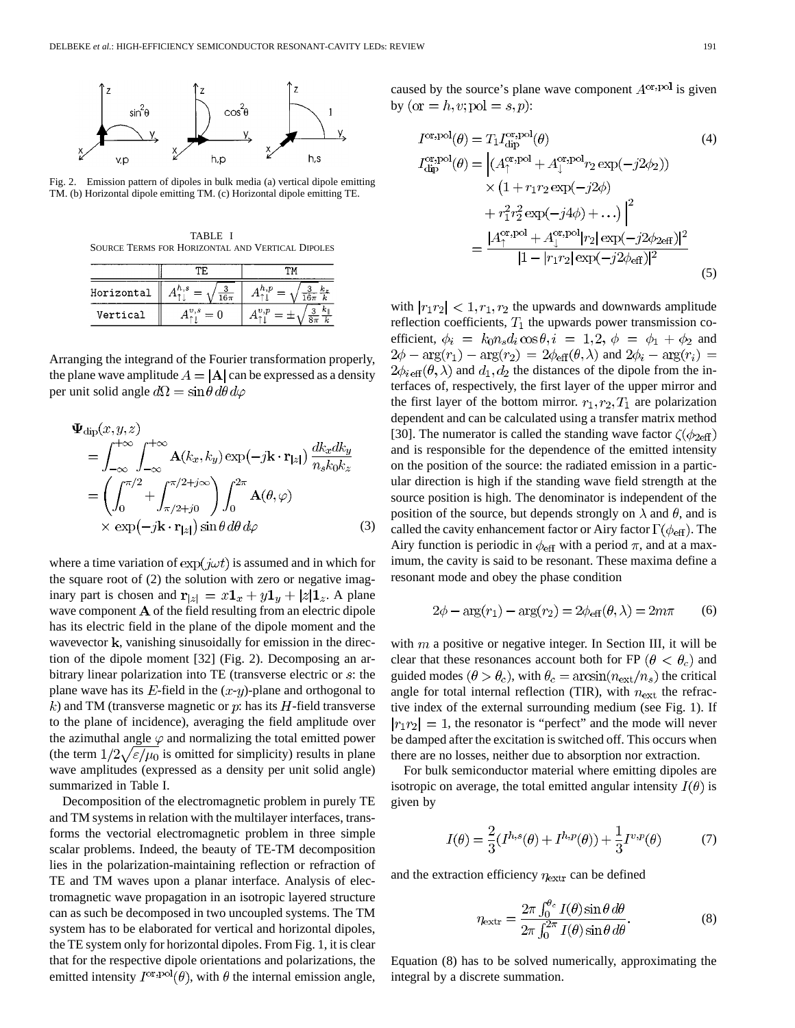

Fig. 2. Emission pattern of dipoles in bulk media (a) vertical dipole emitting TM. (b) Horizontal dipole emitting TM. (c) Horizontal dipole emitting TE.

TABLE I SOURCE TERMS FOR HORIZONTAL AND VERTICAL DIPOLES

|            |         | тv |
|------------|---------|----|
| Horizontal | $16\pi$ |    |
| Vertical   |         | o  |

Arranging the integrand of the Fourier transformation properly, the plane wave amplitude  $A = |\mathbf{A}|$  can be expressed as a density per unit solid angle  $d\Omega = \sin \theta d\theta d\varphi$ 

$$
\Psi_{\text{dip}}(x, y, z) \n= \int_{-\infty}^{+\infty} \int_{-\infty}^{+\infty} \mathbf{A}(k_x, k_y) \exp(-j\mathbf{k} \cdot \mathbf{r}_{|z|}) \frac{dk_x dk_y}{n_s k_0 k_z} \n= \left( \int_0^{\pi/2} + \int_{\pi/2 + j0}^{\pi/2 + j\infty} \right) \int_0^{2\pi} \mathbf{A}(\theta, \varphi) \n\times \exp(-j\mathbf{k} \cdot \mathbf{r}_{|z|}) \sin \theta \, d\theta \, d\varphi
$$
\n(3)

where a time variation of  $\exp(j\omega t)$  is assumed and in which for the square root of (2) the solution with zero or negative imaginary part is chosen and  $\mathbf{r}_{|z|} = x\mathbf{1}_x + y\mathbf{1}_y + |z|\mathbf{1}_z$ . A plane wave component  $A$  of the field resulting from an electric dipole has its electric field in the plane of the dipole moment and the wavevector  $k$ , vanishing sinusoidally for emission in the direction of the dipole moment [32] (Fig. 2). Decomposing an arbitrary linear polarization into TE (transverse electric or  $s$ : the plane wave has its  $E$ -field in the  $(x-y)$ -plane and orthogonal to  $k$ ) and TM (transverse magnetic or  $p$ : has its  $H$ -field transverse to the plane of incidence), averaging the field amplitude over the azimuthal angle  $\varphi$  and normalizing the total emitted power (the term  $1/2\sqrt{\epsilon/\mu_0}$  is omitted for simplicity) results in plane wave amplitudes (expressed as a density per unit solid angle) summarized in Table I.

Decomposition of the electromagnetic problem in purely TE and TM systems in relation with the multilayer interfaces, transforms the vectorial electromagnetic problem in three simple scalar problems. Indeed, the beauty of TE-TM decomposition lies in the polarization-maintaining reflection or refraction of TE and TM waves upon a planar interface. Analysis of electromagnetic wave propagation in an isotropic layered structure can as such be decomposed in two uncoupled systems. The TM system has to be elaborated for vertical and horizontal dipoles, the TE system only for horizontal dipoles. From Fig. 1, it is clear that for the respective dipole orientations and polarizations, the emitted intensity  $I^{\text{or,pol}}(\theta)$ , with  $\theta$  the internal emission angle, caused by the source's plane wave component  $A^{\alpha, \text{pol}}$  is given by (or =  $h, v$ ; pol =  $s, p$ ):

$$
I^{\text{or,pol}}(\theta) = T_1 I_{\text{dip}}^{\text{or,pol}}(\theta)
$$
(4)  
\n
$$
I_{\text{dip}}^{\text{or,pol}}(\theta) = \left| (A_{\uparrow}^{\text{or,pol}} + A_{\downarrow}^{\text{or,pol}} r_2 \exp(-j2\phi_2)) \right|
$$
  
\n
$$
\times (1 + r_1 r_2 \exp(-j2\phi)
$$
  
\n
$$
+ r_1^2 r_2^2 \exp(-j4\phi) + \ldots) \right|^2
$$
  
\n
$$
= \frac{|A_{\uparrow}^{\text{or,pol}} + A_{\downarrow}^{\text{or,pol}} |r_2| \exp(-j2\phi_{2\text{eff}})|^2}{|1 - |r_1 r_2| \exp(-j2\phi_{\text{eff}})|^2}
$$
(5)

with  $|r_1r_2| < 1, r_1, r_2$  the upwards and downwards amplitude reflection coefficients,  $T_1$  the upwards power transmission coefficient,  $\phi_i = k_0 n_s d_i \cos \theta, i = 1, 2, \phi = \phi_1 + \phi_2$  and  $2\phi - \arg(r_1) - \arg(r_2) = 2\phi_{\text{eff}}(\theta, \lambda)$  and  $2\phi_i - \arg(r_i) =$  $2\phi_{i \text{eff}}(\theta, \lambda)$  and  $d_1, d_2$  the distances of the dipole from the interfaces of, respectively, the first layer of the upper mirror and the first layer of the bottom mirror.  $r_1, r_2, T_1$  are polarization dependent and can be calculated using a transfer matrix method [30]. The numerator is called the standing wave factor  $\zeta(\phi_{2\text{eff}})$ and is responsible for the dependence of the emitted intensity on the position of the source: the radiated emission in a particular direction is high if the standing wave field strength at the source position is high. The denominator is independent of the position of the source, but depends strongly on  $\lambda$  and  $\theta$ , and is called the cavity enhancement factor or Airy factor  $\Gamma(\phi_{\text{eff}})$ . The Airy function is periodic in  $\phi_{\text{eff}}$  with a period  $\pi$ , and at a maximum, the cavity is said to be resonant. These maxima define a resonant mode and obey the phase condition

$$
2\phi - \arg(r_1) - \arg(r_2) = 2\phi_{\text{eff}}(\theta, \lambda) = 2m\pi \tag{6}
$$

with  $m$  a positive or negative integer. In Section III, it will be clear that these resonances account both for FP  $(\theta < \theta_c)$  and guided modes ( $\theta > \theta_c$ ), with  $\theta_c = \arcsin(n_{\rm ext}/n_s)$  the critical angle for total internal reflection (TIR), with  $n_{\text{ext}}$  the refractive index of the external surrounding medium (see Fig. 1). If  $|r_1r_2|=1$ , the resonator is "perfect" and the mode will never be damped after the excitation is switched off. This occurs when there are no losses, neither due to absorption nor extraction.

For bulk semiconductor material where emitting dipoles are isotropic on average, the total emitted angular intensity  $I(\theta)$  is given by

$$
I(\theta) = \frac{2}{3}(I^{h,s}(\theta) + I^{h,p}(\theta)) + \frac{1}{3}I^{v,p}(\theta)
$$
 (7)

and the extraction efficiency  $\eta_{\text{extr}}$  can be defined

$$
\eta_{\text{extr}} = \frac{2\pi \int_0^{\theta_c} I(\theta) \sin \theta \, d\theta}{2\pi \int_0^{2\pi} I(\theta) \sin \theta \, d\theta}.
$$
\n(8)

Equation (8) has to be solved numerically, approximating the integral by a discrete summation.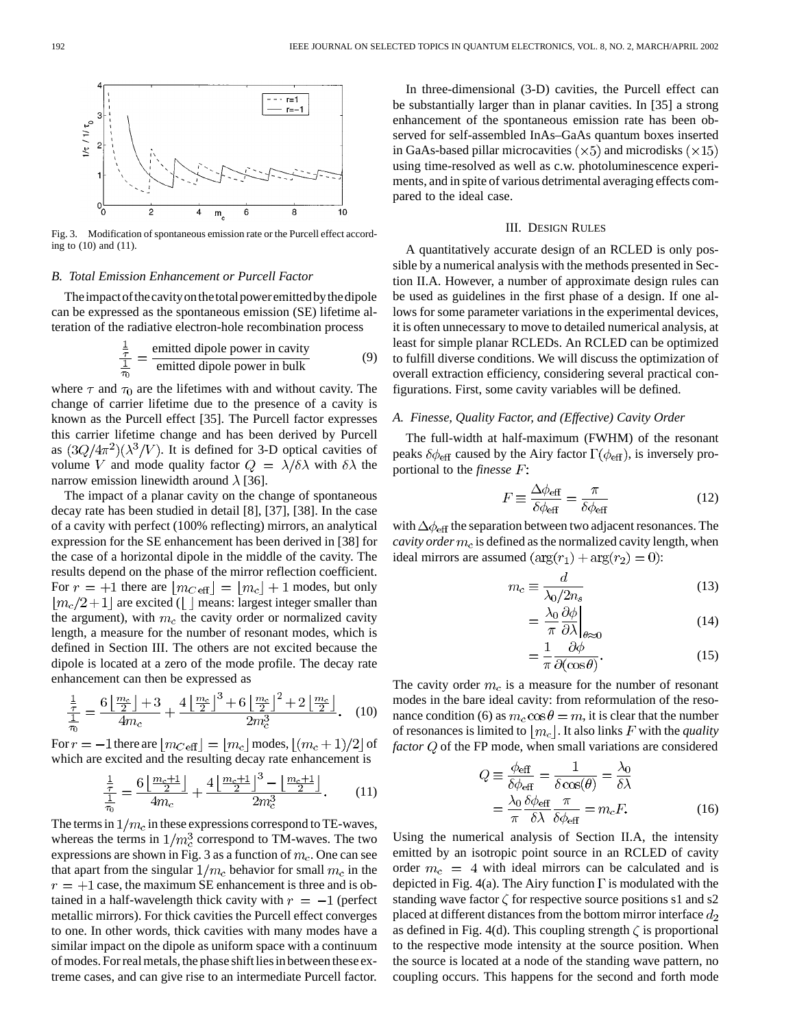

Fig. 3. Modification of spontaneous emission rate or the Purcell effect according to (10) and (11).

#### *B. Total Emission Enhancement or Purcell Factor*

The impact of the cavity on the total power emitted by the dipole can be expressed as the spontaneous emission (SE) lifetime alteration of the radiative electron-hole recombination process

$$
\frac{\frac{1}{\tau}}{\frac{1}{\tau}} = \frac{\text{emitted dipole power in cavity}}{\text{emitted dipole power in bulk}} \tag{9}
$$

where  $\tau$  and  $\tau_0$  are the lifetimes with and without cavity. The change of carrier lifetime due to the presence of a cavity is known as the Purcell effect [35]. The Purcell factor expresses this carrier lifetime change and has been derived by Purcell as  $\left(\frac{3Q}{4\pi^2}\right)\left(\frac{\lambda^3}{V}\right)$ . It is defined for 3-D optical cavities of volume V and mode quality factor  $Q = \lambda/\delta\lambda$  with  $\delta\lambda$  the narrow emission linewidth around  $\lambda$  [36].

The impact of a planar cavity on the change of spontaneous decay rate has been studied in detail [8], [37], [38]. In the case of a cavity with perfect (100% reflecting) mirrors, an analytical expression for the SE enhancement has been derived in [38] for the case of a horizontal dipole in the middle of the cavity. The results depend on the phase of the mirror reflection coefficient. For  $r = +1$  there are  $|m_{\text{C}}| = |m_c| + 1$  modes, but only  $\lfloor m_c/2+1 \rfloor$  are excited ( $\lfloor \rfloor$  means: largest integer smaller than the argument), with  $m_c$  the cavity order or normalized cavity length, a measure for the number of resonant modes, which is defined in Section III. The others are not excited because the dipole is located at a zero of the mode profile. The decay rate enhancement can then be expressed as

$$
\frac{\frac{1}{r}}{\frac{1}{r_0}} = \frac{6\left\lfloor \frac{m_c}{2} \right\rfloor + 3}{4m_c} + \frac{4\left\lfloor \frac{m_c}{2} \right\rfloor^3 + 6\left\lfloor \frac{m_c}{2} \right\rfloor^2 + 2\left\lfloor \frac{m_c}{2} \right\rfloor}{2m_c^3}.
$$
 (10)

For  $r = -1$  there are  $\lfloor m_{\text{C eff}} \rfloor = \lfloor m_c \rfloor$  modes,  $\lfloor (m_c + 1)/2 \rfloor$  of which are excited and the resulting decay rate enhancement is

$$
\frac{\frac{1}{\tau}}{\frac{1}{\tau}} = \frac{6\left[\frac{m_c+1}{2}\right]}{4m_c} + \frac{4\left[\frac{m_c+1}{2}\right]^3 - \left[\frac{m_c+1}{2}\right]}{2m_c^3}.
$$
 (11)

The terms in  $1/m_c$  in these expressions correspond to TE-waves, whereas the terms in  $1/m_c^3$  correspond to TM-waves. The two expressions are shown in Fig. 3 as a function of  $m_c$ . One can see that apart from the singular  $1/m_c$  behavior for small  $m_c$  in the  $r = +1$  case, the maximum SE enhancement is three and is obtained in a half-wavelength thick cavity with  $r = -1$  (perfect metallic mirrors). For thick cavities the Purcell effect converges to one. In other words, thick cavities with many modes have a similar impact on the dipole as uniform space with a continuum of modes. For real metals, the phase shift lies in between these extreme cases, and can give rise to an intermediate Purcell factor.

In three-dimensional (3-D) cavities, the Purcell effect can be substantially larger than in planar cavities. In [35] a strong enhancement of the spontaneous emission rate has been observed for self-assembled InAs–GaAs quantum boxes inserted in GaAs-based pillar microcavities  $(\times 5)$  and microdisks  $(\times 15)$ using time-resolved as well as c.w. photoluminescence experiments, and in spite of various detrimental averaging effects compared to the ideal case.

## III. DESIGN RULES

A quantitatively accurate design of an RCLED is only possible by a numerical analysis with the methods presented in Section II.A. However, a number of approximate design rules can be used as guidelines in the first phase of a design. If one allows for some parameter variations in the experimental devices, it is often unnecessary to move to detailed numerical analysis, at least for simple planar RCLEDs. An RCLED can be optimized to fulfill diverse conditions. We will discuss the optimization of overall extraction efficiency, considering several practical configurations. First, some cavity variables will be defined.

#### *A. Finesse, Quality Factor, and (Effective) Cavity Order*

The full-width at half-maximum (FWHM) of the resonant peaks  $\delta \phi_{\text{eff}}$  caused by the Airy factor  $\Gamma(\phi_{\text{eff}})$ , is inversely proportional to the *finesse*

$$
F \equiv \frac{\Delta \phi_{\text{eff}}}{\delta \phi_{\text{eff}}} = \frac{\pi}{\delta \phi_{\text{eff}}}
$$
(12)

with  $\Delta \phi_{\text{eff}}$  the separation between two adjacent resonances. The *cavity order*  $m_c$  is defined as the normalized cavity length, when ideal mirrors are assumed  $(\arg(r_1) + \arg(r_2) = 0)$ :

$$
m_c \equiv \frac{d}{\lambda_0 / 2n_s} \tag{13}
$$

$$
= \frac{\lambda_0}{\pi} \frac{\partial \phi}{\partial \lambda} \bigg|_{\theta \approx 0} \tag{14}
$$

$$
=\frac{1}{\pi}\frac{\partial\phi}{\partial(\cos\theta)}.
$$
 (15)

The cavity order  $m_c$  is a measure for the number of resonant modes in the bare ideal cavity: from reformulation of the resonance condition (6) as  $m_c \cos \theta = m$ , it is clear that the number of resonances is limited to  $|m_c|$ . It also links F with the *quality factor*  $Q$  of the FP mode, when small variations are considered

$$
Q \equiv \frac{\phi_{\text{eff}}}{\delta \phi_{\text{eff}}} = \frac{1}{\delta \cos(\theta)} = \frac{\lambda_0}{\delta \lambda}
$$

$$
= \frac{\lambda_0}{\pi} \frac{\delta \phi_{\text{eff}}}{\delta \lambda} \frac{\pi}{\delta \phi_{\text{eff}}} = m_c F. \tag{16}
$$

Using the numerical analysis of Section II.A, the intensity emitted by an isotropic point source in an RCLED of cavity order  $m_c = 4$  with ideal mirrors can be calculated and is depicted in Fig. 4(a). The Airy function  $\Gamma$  is modulated with the standing wave factor  $\zeta$  for respective source positions s1 and s2 placed at different distances from the bottom mirror interface  $d_2$ as defined in Fig. 4(d). This coupling strength  $\zeta$  is proportional to the respective mode intensity at the source position. When the source is located at a node of the standing wave pattern, no coupling occurs. This happens for the second and forth mode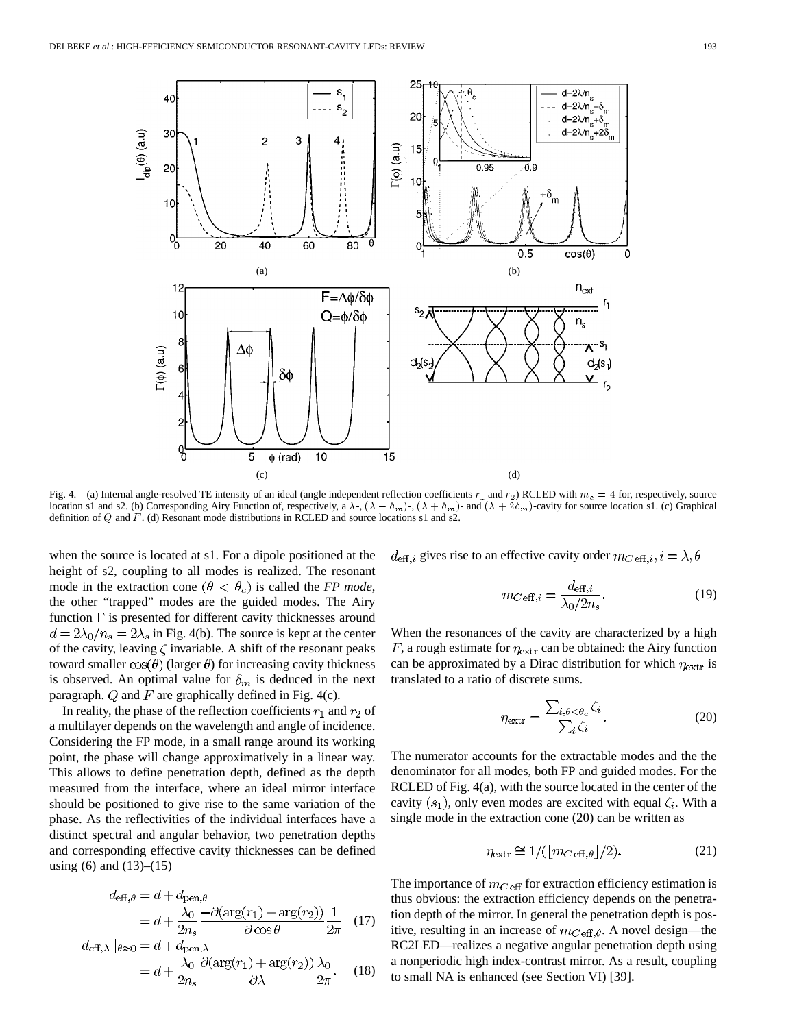

Fig. 4. (a) Internal angle-resolved TE intensity of an ideal (angle independent reflection coefficients  $r_1$  and  $r_2$ ) RCLED with  $m_c = 4$  for, respectively, source (c) (d)<br>Fig. 4. (a) Internal angle-resolved TE intensity of an ideal (angle independent reflection coefficients  $r_1$  and  $r_2$ ) RCLED with  $m_c = 4$  for, respectively, source location s1 and s2. (b) Corresponding Airy Func definition of  $Q$  and  $F$ . (d) Resonant mode distributions in RCLED and source locations s1 and s2.

when the source is located at s1. For a dipole positioned at the height of s2, coupling to all modes is realized. The resonant mode in the extraction cone  $(\theta < \theta_c)$  is called the *FP mode*, the other "trapped" modes are the guided modes. The Airy function  $\Gamma$  is presented for different cavity thicknesses around  $d = 2\lambda_0/n_s = 2\lambda_s$  in Fig. 4(b). The source is kept at the center of the cavity, leaving  $\zeta$  invariable. A shift of the resonant peaks toward smaller  $\cos(\theta)$  (larger  $\theta$ ) for increasing cavity thickness is observed. An optimal value for  $\delta_m$  is deduced in the next paragraph.  $Q$  and  $F$  are graphically defined in Fig. 4(c).

In reality, the phase of the reflection coefficients  $r_1$  and  $r_2$  of a multilayer depends on the wavelength and angle of incidence. Considering the FP mode, in a small range around its working point, the phase will change approximatively in a linear way. This allows to define penetration depth, defined as the depth measured from the interface, where an ideal mirror interface should be positioned to give rise to the same variation of the phase. As the reflectivities of the individual interfaces have a distinct spectral and angular behavior, two penetration depths and corresponding effective cavity thicknesses can be defined using (6) and  $(13)–(15)$ 

$$
d_{\text{eff},\theta} = d + d_{\text{pen},\theta}
$$
  
= 
$$
d + \frac{\lambda_0}{2n_s} \frac{-\partial(\arg(r_1) + \arg(r_2))}{\partial \cos \theta} \frac{1}{2\pi}
$$
 (17)

$$
d_{\text{eff},\lambda} \left| \theta \approx 0 \right| = d + d_{\text{pen},\lambda}
$$
  
=  $d + \frac{\lambda_0}{2n_s} \frac{\partial(\arg(r_1) + \arg(r_2))}{\partial \lambda} \frac{\lambda_0}{2\pi}.$  (18)

 $d_{\text{eff},i}$  gives rise to an effective cavity order  $m_{\text{Ceff},i}$ ,  $i = \lambda, \theta$ 

$$
m_{C \text{ eff}, i} = \frac{d_{\text{eff}, i}}{\lambda_0 / 2n_s}.
$$
 (19)

When the resonances of the cavity are characterized by a high  $F$ , a rough estimate for  $\eta_{\text{extr}}$  can be obtained: the Airy function can be approximated by a Dirac distribution for which  $\eta_{\text{extr}}$  is translated to a ratio of discrete sums.

$$
\eta_{\text{extr}} = \frac{\sum_{i,\theta < \theta_c} \zeta_i}{\sum_i \zeta_i}.\tag{20}
$$

The numerator accounts for the extractable modes and the the denominator for all modes, both FP and guided modes. For the RCLED of Fig. 4(a), with the source located in the center of the cavity  $(s_1)$ , only even modes are excited with equal  $\zeta_i$ . With a single mode in the extraction cone (20) can be written as

$$
\eta_{\text{extr}} \cong 1/(\lfloor m_{C \text{ eff}, \theta} \rfloor/2). \tag{21}
$$

The importance of  $m_{\text{C}}$  eff for extraction efficiency estimation is thus obvious: the extraction efficiency depends on the penetration depth of the mirror. In general the penetration depth is positive, resulting in an increase of  $m_{\text{C eff.}\theta}$ . A novel design—the RC2LED—realizes a negative angular penetration depth using a nonperiodic high index-contrast mirror. As a result, coupling to small NA is enhanced (see Section VI) [39].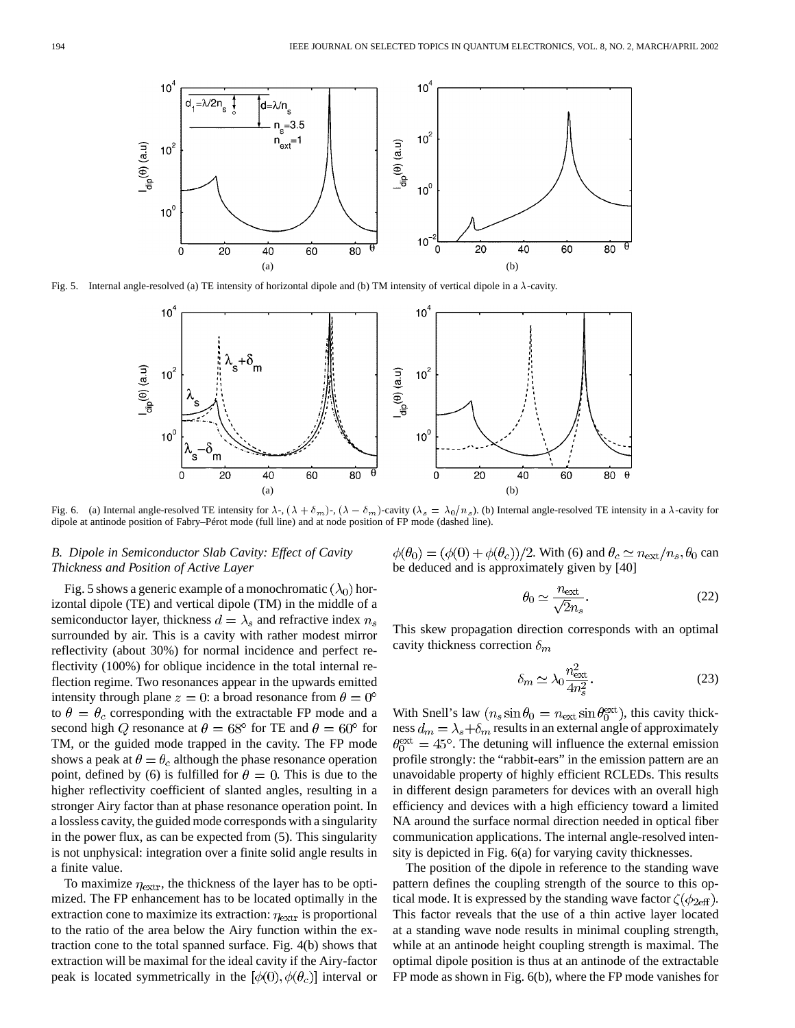

Fig. 5. Internal angle-resolved (a) TE intensity of horizontal dipole and (b) TM intensity of vertical dipole in a  $\lambda$ -cavity.



dipole at antinode position of Fabry–Pérot mode (full line) and at node position of FP mode (dashed line).

# *B. Dipole in Semiconductor Slab Cavity: Effect of Cavity Thickness and Position of Active Layer*

Fig. 5 shows a generic example of a monochromatic  $(\lambda_0)$  horizontal dipole (TE) and vertical dipole (TM) in the middle of a semiconductor layer, thickness  $d = \lambda_s$  and refractive index  $n_s$ surrounded by air. This is a cavity with rather modest mirror reflectivity (about 30%) for normal incidence and perfect reflectivity (100%) for oblique incidence in the total internal reflection regime. Two resonances appear in the upwards emitted intensity through plane  $z = 0$ : a broad resonance from  $\theta = 0^{\circ}$ to  $\theta = \theta_c$  corresponding with the extractable FP mode and a second high Q resonance at  $\theta = 68^{\circ}$  for TE and  $\theta = 60^{\circ}$  for TM, or the guided mode trapped in the cavity. The FP mode shows a peak at  $\theta = \theta_c$  although the phase resonance operation point, defined by (6) is fulfilled for  $\theta = 0$ . This is due to the higher reflectivity coefficient of slanted angles, resulting in a stronger Airy factor than at phase resonance operation point. In a lossless cavity, the guided mode corresponds with a singularity in the power flux, as can be expected from (5). This singularity is not unphysical: integration over a finite solid angle results in a finite value.

To maximize  $\eta_{\text{extr}}$ , the thickness of the layer has to be optimized. The FP enhancement has to be located optimally in the extraction cone to maximize its extraction:  $\eta_{\text{extr}}$  is proportional to the ratio of the area below the Airy function within the extraction cone to the total spanned surface. Fig. 4(b) shows that extraction will be maximal for the ideal cavity if the Airy-factor peak is located symmetrically in the  $[\phi(0), \phi(\theta_c)]$  interval or

 $\phi(\theta_0) = (\phi(0) + \phi(\theta_c))/2$ . With (6) and  $\theta_c \simeq n_{\text{ext}}/n_s, \theta_0$  can be deduced and is approximately given by [40]

$$
\theta_0 \simeq \frac{n_{\text{ext}}}{\sqrt{2}n_s}.\tag{22}
$$

This skew propagation direction corresponds with an optimal cavity thickness correction  $\delta_m$ 

$$
\delta_m \simeq \lambda_0 \frac{n_{\text{ext}}^2}{4n_s^2}.\tag{23}
$$

With Snell's law  $(n_s \sin \theta_0 = n_{\text{ext}} \sin \theta_0^{\text{ext}})$ , this cavity thickness  $d_m = \lambda_s + \delta_m$  results in an external angle of approximately  $\theta_0^{\text{ext}} = 45^{\circ}$ . The detuning will influence the external emission profile strongly: the "rabbit-ears" in the emission pattern are an unavoidable property of highly efficient RCLEDs. This results in different design parameters for devices with an overall high efficiency and devices with a high efficiency toward a limited NA around the surface normal direction needed in optical fiber communication applications. The internal angle-resolved intensity is depicted in Fig. 6(a) for varying cavity thicknesses.

The position of the dipole in reference to the standing wave pattern defines the coupling strength of the source to this optical mode. It is expressed by the standing wave factor  $\zeta(\phi_{2\text{eff}})$ . This factor reveals that the use of a thin active layer located at a standing wave node results in minimal coupling strength, while at an antinode height coupling strength is maximal. The optimal dipole position is thus at an antinode of the extractable FP mode as shown in Fig. 6(b), where the FP mode vanishes for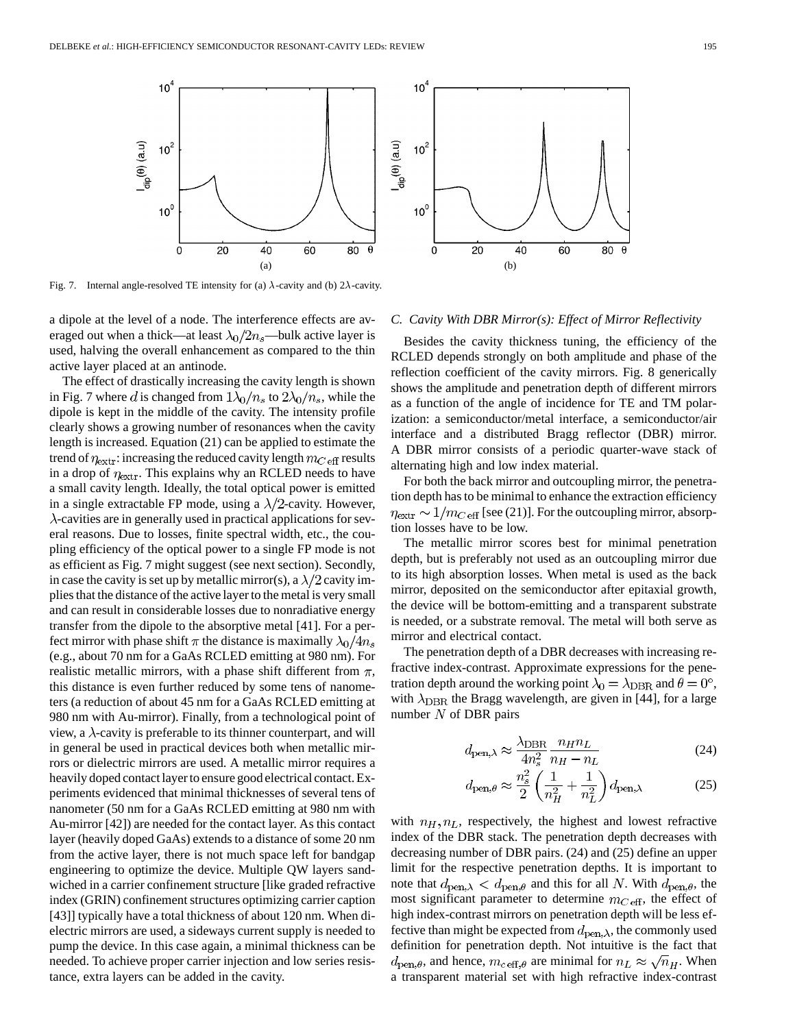

Fig. 7. Internal angle-resolved TE intensity for (a)  $\lambda$ -cavity and (b) 2 $\lambda$ -cavity.

a dipole at the level of a node. The interference effects are averaged out when a thick—at least  $\lambda_0/2n_s$ —bulk active layer is used, halving the overall enhancement as compared to the thin active layer placed at an antinode.

The effect of drastically increasing the cavity length is shown in Fig. 7 where d is changed from  $1\lambda_0/n_s$  to  $2\lambda_0/n_s$ , while the dipole is kept in the middle of the cavity. The intensity profile clearly shows a growing number of resonances when the cavity length is increased. Equation (21) can be applied to estimate the trend of  $\eta_{\text{extr}}$ : increasing the reduced cavity length  $m_{C_{\text{eff}}}$  results in a drop of  $\eta_{\text{extr}}$ . This explains why an RCLED needs to have a small cavity length. Ideally, the total optical power is emitted in a single extractable FP mode, using a  $\lambda/2$ -cavity. However,  $\lambda$ -cavities are in generally used in practical applications for several reasons. Due to losses, finite spectral width, etc., the coupling efficiency of the optical power to a single FP mode is not as efficient as Fig. 7 might suggest (see next section). Secondly, in case the cavity is set up by metallic mirror(s), a  $\lambda/2$  cavity implies that the distance of the active layer to the metal is very small and can result in considerable losses due to nonradiative energy transfer from the dipole to the absorptive metal [41]. For a perfect mirror with phase shift  $\pi$  the distance is maximally  $\lambda_0/4n_s$ (e.g., about 70 nm for a GaAs RCLED emitting at 980 nm). For realistic metallic mirrors, with a phase shift different from  $\pi$ , this distance is even further reduced by some tens of nanometers (a reduction of about 45 nm for a GaAs RCLED emitting at 980 nm with Au-mirror). Finally, from a technological point of view, a  $\lambda$ -cavity is preferable to its thinner counterpart, and will in general be used in practical devices both when metallic mirrors or dielectric mirrors are used. A metallic mirror requires a heavily doped contact layer to ensure good electrical contact. Experiments evidenced that minimal thicknesses of several tens of nanometer (50 nm for a GaAs RCLED emitting at 980 nm with Au-mirror [42]) are needed for the contact layer. As this contact layer (heavily doped GaAs) extends to a distance of some 20 nm from the active layer, there is not much space left for bandgap engineering to optimize the device. Multiple QW layers sandwiched in a carrier confinement structure [like graded refractive index (GRIN) confinement structures optimizing carrier caption [43]] typically have a total thickness of about 120 nm. When dielectric mirrors are used, a sideways current supply is needed to pump the device. In this case again, a minimal thickness can be needed. To achieve proper carrier injection and low series resistance, extra layers can be added in the cavity.

## *C. Cavity With DBR Mirror(s): Effect of Mirror Reflectivity*

Besides the cavity thickness tuning, the efficiency of the RCLED depends strongly on both amplitude and phase of the reflection coefficient of the cavity mirrors. Fig. 8 generically shows the amplitude and penetration depth of different mirrors as a function of the angle of incidence for TE and TM polarization: a semiconductor/metal interface, a semiconductor/air interface and a distributed Bragg reflector (DBR) mirror. A DBR mirror consists of a periodic quarter-wave stack of alternating high and low index material.

For both the back mirror and outcoupling mirror, the penetration depth has to be minimal to enhance the extraction efficiency  $\eta_{\text{extr}} \sim 1/m_{C \text{ eff}}$  [see (21)]. For the outcoupling mirror, absorption losses have to be low.

The metallic mirror scores best for minimal penetration depth, but is preferably not used as an outcoupling mirror due to its high absorption losses. When metal is used as the back mirror, deposited on the semiconductor after epitaxial growth, the device will be bottom-emitting and a transparent substrate is needed, or a substrate removal. The metal will both serve as mirror and electrical contact.

The penetration depth of a DBR decreases with increasing refractive index-contrast. Approximate expressions for the penetration depth around the working point  $\lambda_0 = \lambda_{\text{DBR}}$  and  $\theta = 0^\circ$ , with  $\lambda_{\text{DBR}}$  the Bragg wavelength, are given in [44], for a large number  $N$  of DBR pairs

$$
d_{\text{pen},\lambda} \approx \frac{\lambda_{\text{DBR}}}{4n_s^2} \frac{n_H n_L}{n_H - n_L} \tag{24}
$$

$$
d_{\text{pen},\theta} \approx \frac{n_s^2}{2} \left( \frac{1}{n_H^2} + \frac{1}{n_L^2} \right) d_{\text{pen},\lambda} \tag{25}
$$

with  $n_H$ ,  $n_L$ , respectively, the highest and lowest refractive index of the DBR stack. The penetration depth decreases with decreasing number of DBR pairs. (24) and (25) define an upper limit for the respective penetration depths. It is important to note that  $d_{\text{pen},\lambda} < d_{\text{pen},\theta}$  and this for all N. With  $d_{\text{pen},\theta}$ , the most significant parameter to determine  $m_{\text{C eff}}$ , the effect of high index-contrast mirrors on penetration depth will be less effective than might be expected from  $d_{pen.}\lambda$ , the commonly used definition for penetration depth. Not intuitive is the fact that  $d_{\text{pen},\theta}$ , and hence,  $m_{c}$ <sub>eff, $\theta$ </sub> are minimal for  $n_L \approx \sqrt{n_H}$ . When a transparent material set with high refractive index-contrast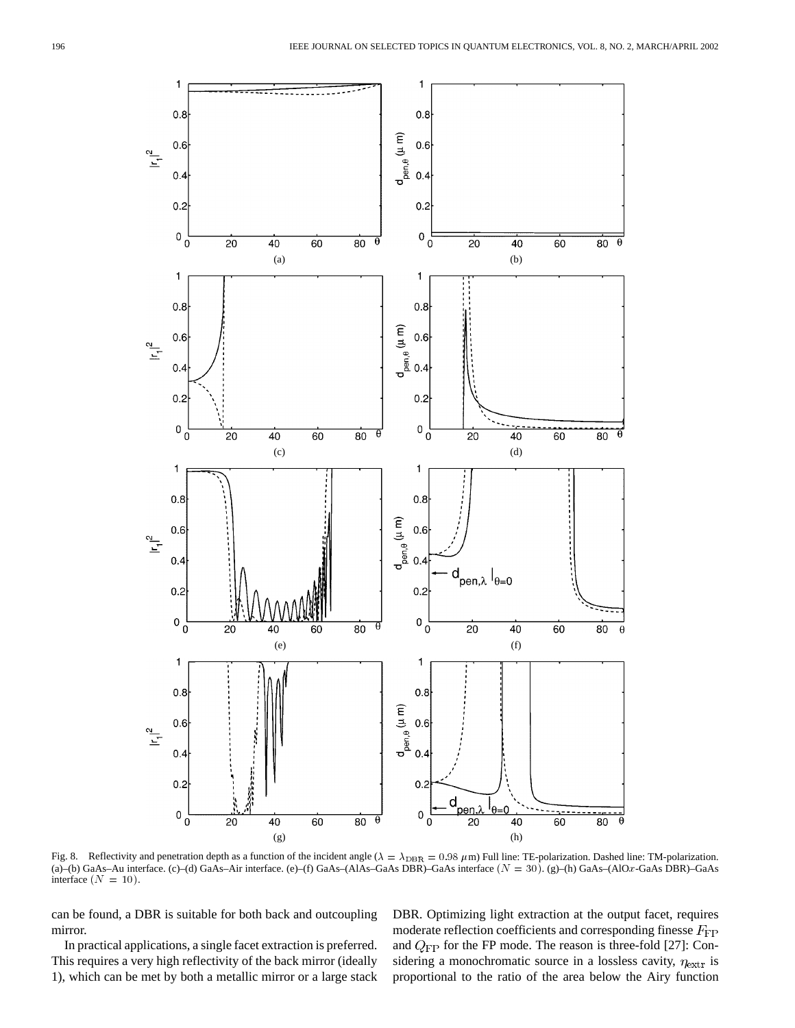

Fig. 8. Reflectivity and penetration depth as a function of the incident angle ( $\lambda = \lambda_{\text{DBR}} = 0.98 \,\mu\text{m}$ ) Full line: TE-polarization. Dashed line: TM-polarization. (a)–(b) GaAs–Au interface. (c)–(d) GaAs–Air interface. (e)–(f) GaAs–(AlAs–GaAs DBR)–GaAs interface ( $N = 30$ ). (g)–(h) GaAs–(AlOx-GaAs DBR)–GaAs interface  $(N = 10)$ .

can be found, a DBR is suitable for both back and outcoupling mirror.

In practical applications, a single facet extraction is preferred. This requires a very high reflectivity of the back mirror (ideally 1), which can be met by both a metallic mirror or a large stack DBR. Optimizing light extraction at the output facet, requires moderate reflection coefficients and corresponding finesse  $F_{\text{FP}}$ and  $Q_{\text{FP}}$  for the FP mode. The reason is three-fold [27]: Considering a monochromatic source in a lossless cavity,  $\eta_{\text{extr}}$  is proportional to the ratio of the area below the Airy function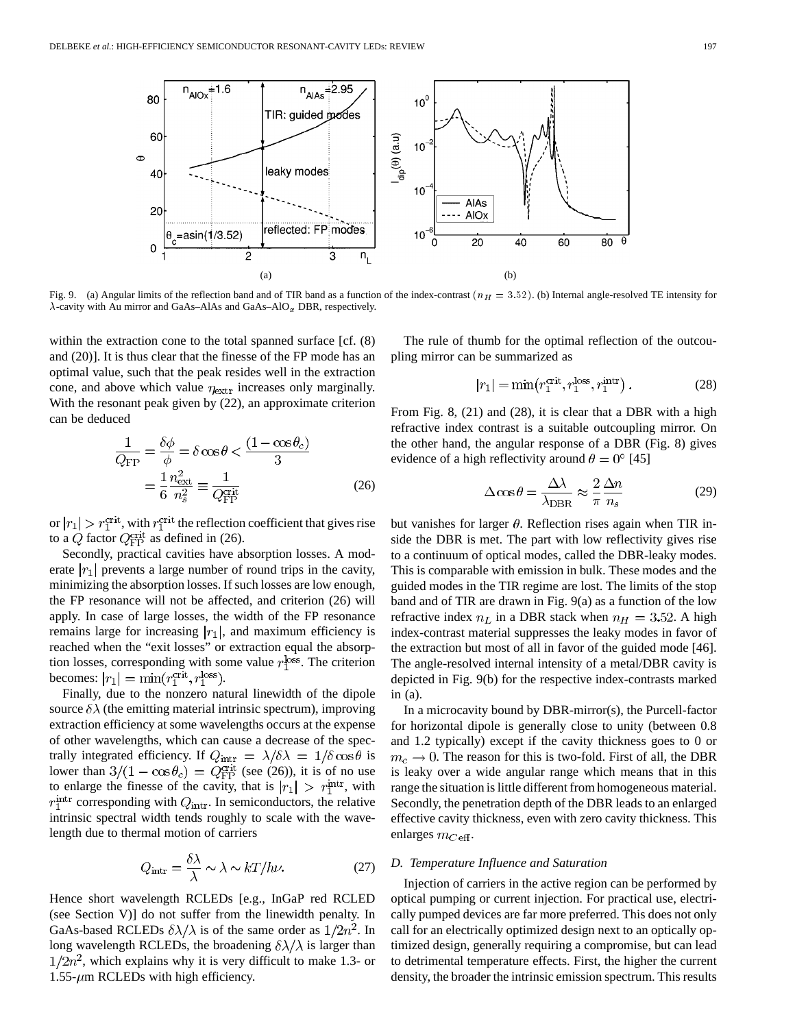

Fig. 9. (a) Angular limits of the reflection band and of TIR band as a function of the index-contrast  $(n_H = 3.52)$ . (b) Internal angle-resolved TE intensity for  $\lambda$ -cavity with Au mirror and GaAs–AlAs and GaAs–AlO<sub>x</sub> DBR, respectively.

within the extraction cone to the total spanned surface [cf.  $(8)$ ] and (20)]. It is thus clear that the finesse of the FP mode has an optimal value, such that the peak resides well in the extraction cone, and above which value  $\eta_{\text{extr}}$  increases only marginally. With the resonant peak given by (22), an approximate criterion can be deduced

$$
\frac{1}{Q_{\text{FP}}} = \frac{\delta\phi}{\phi} = \delta\cos\theta < \frac{(1 - \cos\theta_c)}{3} \\
= \frac{1}{6} \frac{n_{\text{ext}}^2}{n_s^2} \equiv \frac{1}{Q_{\text{FP}}^{\text{crit}}}
$$
\n(26)

or  $|r_1| > r_1^{\text{crit}}$ , with  $r_1^{\text{crit}}$  the reflection coefficient that gives rise to a Q factor  $Q_{\text{FP}}^{\text{crit}}$  as defined in (26).

Secondly, practical cavities have absorption losses. A moderate  $|r_1|$  prevents a large number of round trips in the cavity, minimizing the absorption losses. If such losses are low enough, the FP resonance will not be affected, and criterion (26) will apply. In case of large losses, the width of the FP resonance remains large for increasing  $|r_1|$ , and maximum efficiency is reached when the "exit losses" or extraction equal the absorption losses, corresponding with some value  $r_1^{\text{loss}}$ . The criterion becomes:  $|r_1| = \min(r_1^{\text{crit}}, r_1^{\text{loss}})$ .

Finally, due to the nonzero natural linewidth of the dipole source  $\delta\lambda$  (the emitting material intrinsic spectrum), improving extraction efficiency at some wavelengths occurs at the expense of other wavelengths, which can cause a decrease of the spectrally integrated efficiency. If  $Q_{\text{intr}} = \lambda/\delta\lambda = 1/\delta\cos\theta$  is lower than  $3/(1 - \cos \theta_c) = Q_{\text{FP}}^{\text{crit}}$  (see (26)), it is of no use to enlarge the finesse of the cavity, that is  $|r_1| > r_1^{\text{mtr}}$ , with  $r_1^{\text{intr}}$  corresponding with  $Q_{\text{intr}}$ . In semiconductors, the relative intrinsic spectral width tends roughly to scale with the wavelength due to thermal motion of carriers

$$
Q_{\text{intr}} = \frac{\delta \lambda}{\lambda} \sim \lambda \sim kT/h\nu. \tag{27}
$$

Hence short wavelength RCLEDs [e.g., InGaP red RCLED (see Section V)] do not suffer from the linewidth penalty. In GaAs-based RCLEDs  $\delta\lambda/\lambda$  is of the same order as  $1/2n^2$ . In long wavelength RCLEDs, the broadening  $\delta \lambda / \lambda$  is larger than  $1/2n^2$ , which explains why it is very difficult to make 1.3- or 1.55- $\mu$ m RCLEDs with high efficiency.

The rule of thumb for the optimal reflection of the outcoupling mirror can be summarized as

$$
|r_1| = \min\left(r_1^{\text{crit}}, r_1^{\text{loss}}, r_1^{\text{intr}}\right). \tag{28}
$$

From Fig. 8, (21) and (28), it is clear that a DBR with a high refractive index contrast is a suitable outcoupling mirror. On the other hand, the angular response of a DBR (Fig. 8) gives evidence of a high reflectivity around  $\theta = 0^{\circ}$  [45]

$$
\Delta \cos \theta = \frac{\Delta \lambda}{\lambda_{\text{DBR}}} \approx \frac{2}{\pi} \frac{\Delta n}{n_s} \tag{29}
$$

but vanishes for larger  $\theta$ . Reflection rises again when TIR inside the DBR is met. The part with low reflectivity gives rise to a continuum of optical modes, called the DBR-leaky modes. This is comparable with emission in bulk. These modes and the guided modes in the TIR regime are lost. The limits of the stop band and of TIR are drawn in Fig. 9(a) as a function of the low refractive index  $n_L$  in a DBR stack when  $n_H = 3.52$ . A high index-contrast material suppresses the leaky modes in favor of the extraction but most of all in favor of the guided mode [46]. The angle-resolved internal intensity of a metal/DBR cavity is depicted in Fig. 9(b) for the respective index-contrasts marked in (a).

In a microcavity bound by DBR-mirror(s), the Purcell-factor for horizontal dipole is generally close to unity (between 0.8 and 1.2 typically) except if the cavity thickness goes to 0 or  $m_c \rightarrow 0$ . The reason for this is two-fold. First of all, the DBR is leaky over a wide angular range which means that in this range the situation is little different from homogeneous material. Secondly, the penetration depth of the DBR leads to an enlarged effective cavity thickness, even with zero cavity thickness. This enlarges  $m_{C}$ <sub>eff</sub>.

## *D. Temperature Influence and Saturation*

Injection of carriers in the active region can be performed by optical pumping or current injection. For practical use, electrically pumped devices are far more preferred. This does not only call for an electrically optimized design next to an optically optimized design, generally requiring a compromise, but can lead to detrimental temperature effects. First, the higher the current density, the broader the intrinsic emission spectrum. This results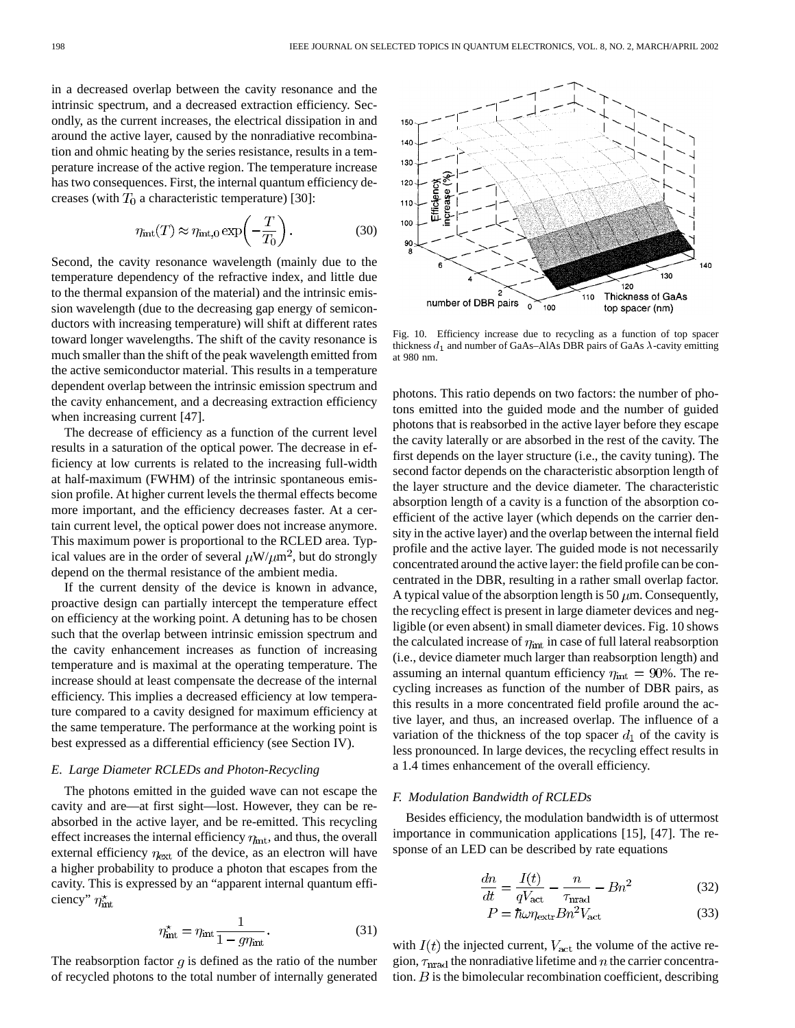in a decreased overlap between the cavity resonance and the intrinsic spectrum, and a decreased extraction efficiency. Secondly, as the current increases, the electrical dissipation in and around the active layer, caused by the nonradiative recombination and ohmic heating by the series resistance, results in a temperature increase of the active region. The temperature increase has two consequences. First, the internal quantum efficiency decreases (with  $T_0$  a characteristic temperature) [30]:

$$
\eta_{\rm int}(T) \approx \eta_{\rm int,0} \exp\left(-\frac{T}{T_0}\right). \tag{30}
$$

Second, the cavity resonance wavelength (mainly due to the temperature dependency of the refractive index, and little due to the thermal expansion of the material) and the intrinsic emission wavelength (due to the decreasing gap energy of semiconductors with increasing temperature) will shift at different rates toward longer wavelengths. The shift of the cavity resonance is much smaller than the shift of the peak wavelength emitted from the active semiconductor material. This results in a temperature dependent overlap between the intrinsic emission spectrum and the cavity enhancement, and a decreasing extraction efficiency when increasing current [47].

The decrease of efficiency as a function of the current level results in a saturation of the optical power. The decrease in efficiency at low currents is related to the increasing full-width at half-maximum (FWHM) of the intrinsic spontaneous emission profile. At higher current levels the thermal effects become more important, and the efficiency decreases faster. At a certain current level, the optical power does not increase anymore. This maximum power is proportional to the RCLED area. Typical values are in the order of several  $\mu$ W/ $\mu$ m<sup>2</sup>, but do strongly depend on the thermal resistance of the ambient media.

If the current density of the device is known in advance, proactive design can partially intercept the temperature effect on efficiency at the working point. A detuning has to be chosen such that the overlap between intrinsic emission spectrum and the cavity enhancement increases as function of increasing temperature and is maximal at the operating temperature. The increase should at least compensate the decrease of the internal efficiency. This implies a decreased efficiency at low temperature compared to a cavity designed for maximum efficiency at the same temperature. The performance at the working point is best expressed as a differential efficiency (see Section IV).

#### *E. Large Diameter RCLEDs and Photon-Recycling*

The photons emitted in the guided wave can not escape the cavity and are—at first sight—lost. However, they can be reabsorbed in the active layer, and be re-emitted. This recycling effect increases the internal efficiency  $\eta_{int}$ , and thus, the overall external efficiency  $\eta_{\text{ext}}$  of the device, as an electron will have a higher probability to produce a photon that escapes from the cavity. This is expressed by an "apparent internal quantum efficiency"  $\eta_{\text{int}}^{\star}$ 

$$
\eta_{\text{int}}^{\star} = \eta_{\text{int}} \frac{1}{1 - g\eta_{\text{int}}}.\tag{31}
$$

The reabsorption factor  $g$  is defined as the ratio of the number of recycled photons to the total number of internally generated



Fig. 10. Efficiency increase due to recycling as a function of top spacer thickness  $d_1$  and number of GaAs–AlAs DBR pairs of GaAs  $\lambda$ -cavity emitting at 980 nm.

photons. This ratio depends on two factors: the number of photons emitted into the guided mode and the number of guided photons that is reabsorbed in the active layer before they escape the cavity laterally or are absorbed in the rest of the cavity. The first depends on the layer structure (i.e., the cavity tuning). The second factor depends on the characteristic absorption length of the layer structure and the device diameter. The characteristic absorption length of a cavity is a function of the absorption coefficient of the active layer (which depends on the carrier density in the active layer) and the overlap between the internal field profile and the active layer. The guided mode is not necessarily concentrated around the active layer: the field profile can be concentrated in the DBR, resulting in a rather small overlap factor. A typical value of the absorption length is 50  $\mu$ m. Consequently, the recycling effect is present in large diameter devices and negligible (or even absent) in small diameter devices. Fig. 10 shows the calculated increase of  $\eta_{\text{int}}$  in case of full lateral reabsorption (i.e., device diameter much larger than reabsorption length) and assuming an internal quantum efficiency  $\eta_{int} = 90\%$ . The recycling increases as function of the number of DBR pairs, as this results in a more concentrated field profile around the active layer, and thus, an increased overlap. The influence of a variation of the thickness of the top spacer  $d_1$  of the cavity is less pronounced. In large devices, the recycling effect results in a 1.4 times enhancement of the overall efficiency.

#### *F. Modulation Bandwidth of RCLEDs*

Besides efficiency, the modulation bandwidth is of uttermost importance in communication applications [15], [47]. The response of an LED can be described by rate equations

$$
\frac{dn}{dt} = \frac{I(t)}{qV_{\text{act}}} - \frac{n}{\tau_{\text{mrad}}} - Bn^2 \tag{32}
$$

$$
P = \hbar \omega \eta_{\text{extr}} B n^2 V_{\text{act}} \tag{33}
$$

with  $I(t)$  the injected current,  $V_{\text{act}}$  the volume of the active region,  $\tau_{\text{mrad}}$  the nonradiative lifetime and n the carrier concentration.  $B$  is the bimolecular recombination coefficient, describing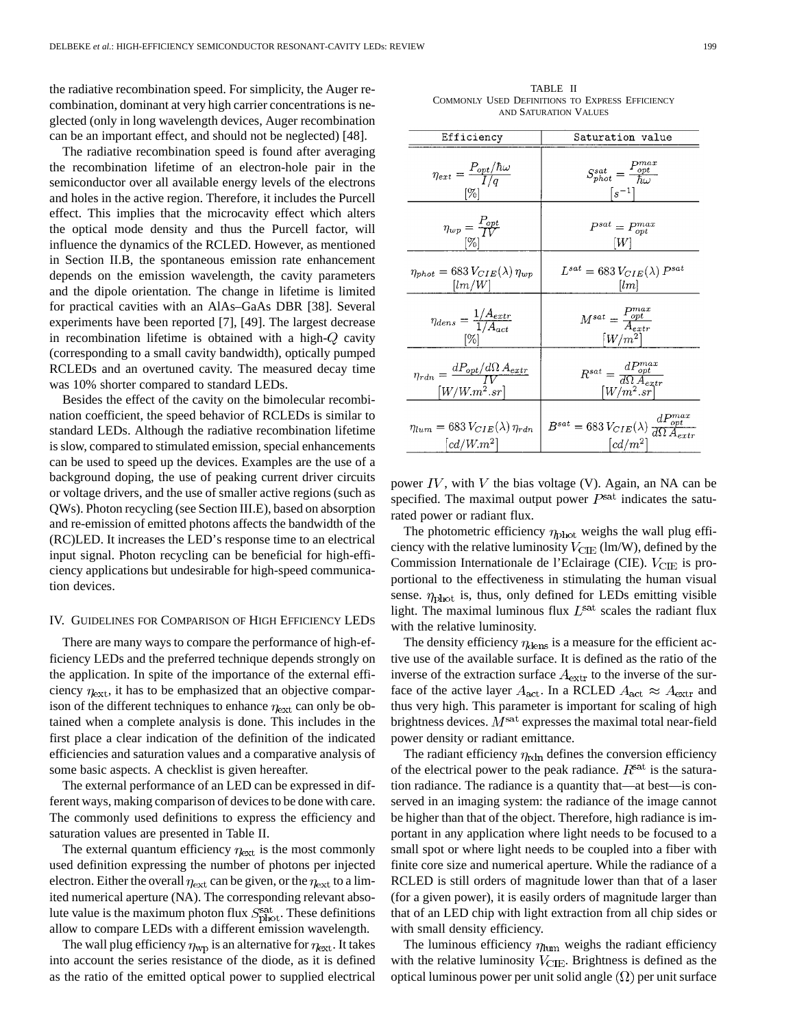the radiative recombination speed. For simplicity, the Auger recombination, dominant at very high carrier concentrations is neglected (only in long wavelength devices, Auger recombination can be an important effect, and should not be neglected) [48].

The radiative recombination speed is found after averaging the recombination lifetime of an electron-hole pair in the semiconductor over all available energy levels of the electrons and holes in the active region. Therefore, it includes the Purcell effect. This implies that the microcavity effect which alters the optical mode density and thus the Purcell factor, will influence the dynamics of the RCLED. However, as mentioned in Section II.B, the spontaneous emission rate enhancement depends on the emission wavelength, the cavity parameters and the dipole orientation. The change in lifetime is limited for practical cavities with an AlAs–GaAs DBR [38]. Several experiments have been reported [7], [49]. The largest decrease in recombination lifetime is obtained with a high- $Q$  cavity (corresponding to a small cavity bandwidth), optically pumped RCLEDs and an overtuned cavity. The measured decay time was 10% shorter compared to standard LEDs.

Besides the effect of the cavity on the bimolecular recombination coefficient, the speed behavior of RCLEDs is similar to standard LEDs. Although the radiative recombination lifetime is slow, compared to stimulated emission, special enhancements can be used to speed up the devices. Examples are the use of a background doping, the use of peaking current driver circuits or voltage drivers, and the use of smaller active regions (such as QWs). Photon recycling (see Section III.E), based on absorption and re-emission of emitted photons affects the bandwidth of the (RC)LED. It increases the LED's response time to an electrical input signal. Photon recycling can be beneficial for high-efficiency applications but undesirable for high-speed communication devices.

## IV. GUIDELINES FOR COMPARISON OF HIGH EFFICIENCY LEDS

There are many ways to compare the performance of high-efficiency LEDs and the preferred technique depends strongly on the application. In spite of the importance of the external efficiency  $\eta_{\text{ext}}$ , it has to be emphasized that an objective comparison of the different techniques to enhance  $\eta_{\text{ext}}$  can only be obtained when a complete analysis is done. This includes in the first place a clear indication of the definition of the indicated efficiencies and saturation values and a comparative analysis of some basic aspects. A checklist is given hereafter.

The external performance of an LED can be expressed in different ways, making comparison of devices to be done with care. The commonly used definitions to express the efficiency and saturation values are presented in Table II.

The external quantum efficiency  $\eta_{\text{ext}}$  is the most commonly used definition expressing the number of photons per injected electron. Either the overall  $\eta_{\rm ext}$  can be given, or the  $\eta_{\rm ext}$  to a limited numerical aperture (NA). The corresponding relevant absolute value is the maximum photon flux  $S_{\rm phot}^{\rm sat}$ . These definitions allow to compare LEDs with a different emission wavelength.

The wall plug efficiency  $\eta_{\text{wp}}$  is an alternative for  $\eta_{\text{ext}}$ . It takes into account the series resistance of the diode, as it is defined as the ratio of the emitted optical power to supplied electrical

|  | TABLE II                                        |  |  |
|--|-------------------------------------------------|--|--|
|  | COMMONLY USED DEFINITIONS TO EXPRESS EFFICIENCY |  |  |
|  | AND SATURATION VALUES                           |  |  |

| Efficiency                                                            | Saturation value                                                                 |  |  |  |
|-----------------------------------------------------------------------|----------------------------------------------------------------------------------|--|--|--|
| $\eta_{ext} = \frac{P_{opt}/\hbar\omega}{I/a}$                        | $S_{phot}^{sat} = \frac{P_{opt}^{max}}{\hbar \omega}$                            |  |  |  |
| $\lbrack \% \rbrack$                                                  | $\lceil s^{-1} \rceil$                                                           |  |  |  |
| $\eta_{wp} = \frac{P_{opt}}{IV}$                                      | $P^{sat} = P_{opt}^{max}$                                                        |  |  |  |
| [%]                                                                   | W                                                                                |  |  |  |
| $\eta_{phot} = 683 V_{CIE}(\lambda) \eta_{wp}$                        | $L^{sat}=683\,V_{CIE}(\lambda)\,P^{sat}$                                         |  |  |  |
| [lm/W]                                                                | [lm]                                                                             |  |  |  |
| $\eta_{dens} = \frac{1/A_{extr}}{1/A_{oct}}$                          | $M^{sat} = \frac{P_{opt}^{max}}{A_{\text{on} \star \star}}$                      |  |  |  |
| $ \% $                                                                | $\lceil W/m^2 \rceil$                                                            |  |  |  |
| $\eta_{rdn} = \frac{dP_{opt}/d\Omega A_{extr}}{IV}$<br>$[W/W.m^2.sr]$ | $R^{sat} = \frac{dP_{opt}^{max}}{d\Omega A_{extr}}$<br>$\left[W/m^2.sr\right]$   |  |  |  |
| $\eta_{lum}=683\,V_{CIE}(\lambda)\,\eta_{rdn}$                        | $B^{sat} = 683\, V_{CIE}(\lambda) \, \frac{dP_{opt}^{max}}{d\Omega \, A_{extr}}$ |  |  |  |
| $ cd/W.m^2 $                                                          | $\lceil cd/m^2 \rceil$                                                           |  |  |  |

power  $IV$ , with  $V$  the bias voltage (V). Again, an NA can be specified. The maximal output power  $P<sup>sat</sup>$  indicates the saturated power or radiant flux.

The photometric efficiency  $\eta_{\text{phot}}$  weighs the wall plug efficiency with the relative luminosity  $V_{\text{CIE}}$  (lm/W), defined by the Commission Internationale de l'Eclairage (CIE).  $V_{\text{CIE}}$  is proportional to the effectiveness in stimulating the human visual sense.  $\eta_{\text{phot}}$  is, thus, only defined for LEDs emitting visible light. The maximal luminous flux  $L^{\text{sat}}$  scales the radiant flux with the relative luminosity.

The density efficiency  $\eta_{\text{dens}}$  is a measure for the efficient active use of the available surface. It is defined as the ratio of the inverse of the extraction surface  $A<sub>extr</sub>$  to the inverse of the surface of the active layer  $A_{\text{act}}$ . In a RCLED  $A_{\text{act}} \approx A_{\text{extr}}$  and thus very high. This parameter is important for scaling of high brightness devices.  $M<sup>sat</sup>$  expresses the maximal total near-field power density or radiant emittance.

The radiant efficiency  $\eta_{\text{rdn}}$  defines the conversion efficiency of the electrical power to the peak radiance.  $R^{\text{sat}}$  is the saturation radiance. The radiance is a quantity that—at best—is conserved in an imaging system: the radiance of the image cannot be higher than that of the object. Therefore, high radiance is important in any application where light needs to be focused to a small spot or where light needs to be coupled into a fiber with finite core size and numerical aperture. While the radiance of a RCLED is still orders of magnitude lower than that of a laser (for a given power), it is easily orders of magnitude larger than that of an LED chip with light extraction from all chip sides or with small density efficiency.

The luminous efficiency  $\eta_{\text{lum}}$  weighs the radiant efficiency with the relative luminosity  $V_{\text{CIE}}$ . Brightness is defined as the optical luminous power per unit solid angle  $(\Omega)$  per unit surface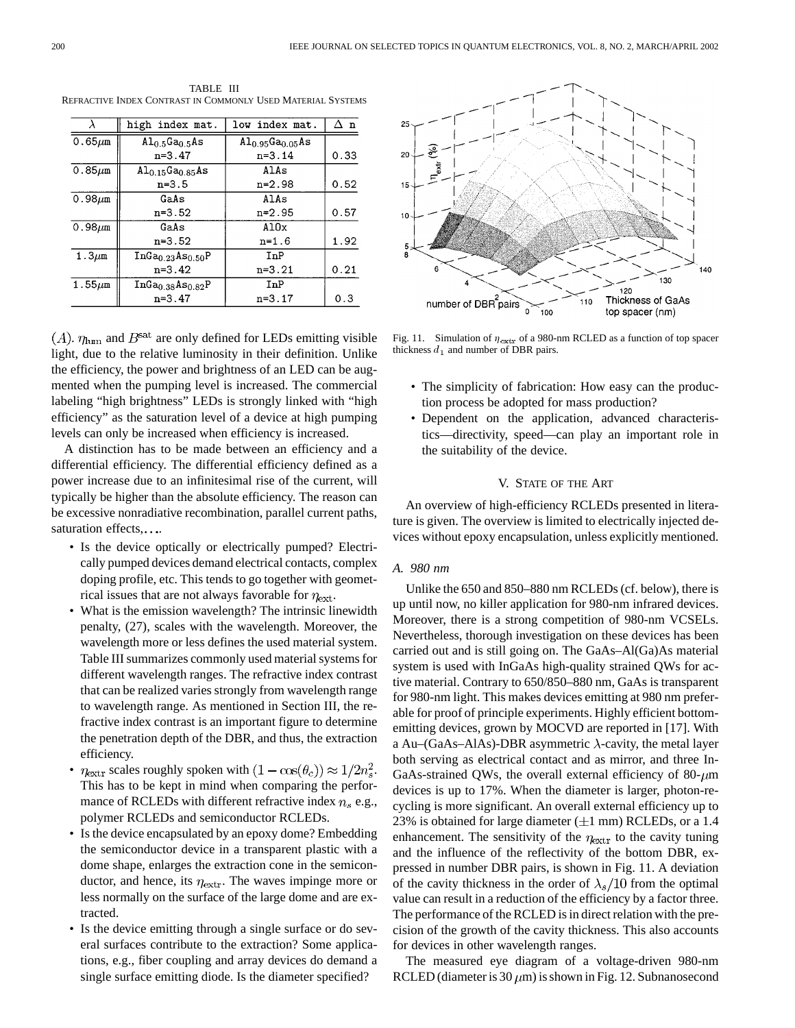| λ            | high index mat.                           | low index mat.                       | $\mathbf n$ |
|--------------|-------------------------------------------|--------------------------------------|-------------|
| $0.65 \mu m$ | $\mathrm{Al_{0.5}Ga_{0.5}As}$             | $\mathrm{Al}_{0.95}$ Ga $_{0.05}$ As |             |
|              | $n=3.47$                                  | $n=3.14$                             | 0.33        |
| $0.85 \mu m$ | $\mathrm{Al}_{0.15}$ Ga $_{0.85}$ As      | AlAs                                 |             |
|              | $n = 3.5$                                 | $n=2.98$                             | 0.52        |
| $0.98 \mu m$ | GaAs                                      | AlAs                                 |             |
|              | $n=3.52$                                  | $n=2.95$                             | 0.57        |
| $0.98 \mu m$ | CaAs                                      | A10x                                 |             |
|              | $n=3.52$                                  | $n=1.6$                              | 1.92        |
| $1.3 \mu m$  | InGa <sub>0.23</sub> As <sub>0.50</sub> P | InP                                  |             |
|              | n=3.42                                    | $n=3.21$                             | 0.21        |
| $1.55 \mu m$ | $InGa0.38 As0.82P$                        | InP                                  |             |
|              | $n=3.47$                                  | $n=3.17$                             | 0.3         |

TABLE III REFRACTIVE INDEX CONTRAST IN COMMONLY USED MATERIAL SYSTEMS

 $(A)$ .  $\eta_{\text{turn}}$  and  $B^{\text{sat}}$  are only defined for LEDs emitting visible light, due to the relative luminosity in their definition. Unlike the efficiency, the power and brightness of an LED can be augmented when the pumping level is increased. The commercial labeling "high brightness" LEDs is strongly linked with "high efficiency" as the saturation level of a device at high pumping levels can only be increased when efficiency is increased.

A distinction has to be made between an efficiency and a differential efficiency. The differential efficiency defined as a power increase due to an infinitesimal rise of the current, will typically be higher than the absolute efficiency. The reason can be excessive nonradiative recombination, parallel current paths, saturation effects, ...

- Is the device optically or electrically pumped? Electrically pumped devices demand electrical contacts, complex doping profile, etc. This tends to go together with geometrical issues that are not always favorable for  $\eta_{\text{ext}}$ .
- What is the emission wavelength? The intrinsic linewidth penalty, (27), scales with the wavelength. Moreover, the wavelength more or less defines the used material system. Table III summarizes commonly used material systems for different wavelength ranges. The refractive index contrast that can be realized varies strongly from wavelength range to wavelength range. As mentioned in Section III, the refractive index contrast is an important figure to determine the penetration depth of the DBR, and thus, the extraction efficiency.
- $\eta_{\text{extr}}$  scales roughly spoken with  $(1 \cos(\theta_c)) \approx 1/2n_s^2$ . This has to be kept in mind when comparing the performance of RCLEDs with different refractive index  $n_s$  e.g., polymer RCLEDs and semiconductor RCLEDs.
- Is the device encapsulated by an epoxy dome? Embedding the semiconductor device in a transparent plastic with a dome shape, enlarges the extraction cone in the semiconductor, and hence, its  $\eta_{\text{extr}}$ . The waves impinge more or less normally on the surface of the large dome and are extracted.
- Is the device emitting through a single surface or do several surfaces contribute to the extraction? Some applications, e.g., fiber coupling and array devices do demand a single surface emitting diode. Is the diameter specified?



Fig. 11. Simulation of  $\eta_{\text{extr}}$  of a 980-nm RCLED as a function of top spacer thickness  $d_1$  and number of DBR pairs.

- The simplicity of fabrication: How easy can the production process be adopted for mass production?
- Dependent on the application, advanced characteristics—directivity, speed—can play an important role in the suitability of the device.

# V. STATE OF THE ART

An overview of high-efficiency RCLEDs presented in literature is given. The overview is limited to electrically injected devices without epoxy encapsulation, unless explicitly mentioned.

# *A. 980 nm*

Unlike the 650 and 850–880 nm RCLEDs (cf. below), there is up until now, no killer application for 980-nm infrared devices. Moreover, there is a strong competition of 980-nm VCSELs. Nevertheless, thorough investigation on these devices has been carried out and is still going on. The GaAs–Al(Ga)As material system is used with InGaAs high-quality strained QWs for active material. Contrary to 650/850–880 nm, GaAs is transparent for 980-nm light. This makes devices emitting at 980 nm preferable for proof of principle experiments. Highly efficient bottomemitting devices, grown by MOCVD are reported in [17]. With a Au–(GaAs–AlAs)-DBR asymmetric  $\lambda$ -cavity, the metal layer both serving as electrical contact and as mirror, and three In-GaAs-strained QWs, the overall external efficiency of  $80-\mu m$ devices is up to 17%. When the diameter is larger, photon-recycling is more significant. An overall external efficiency up to 23% is obtained for large diameter  $(\pm 1 \text{ mm})$  RCLEDs, or a 1.4 enhancement. The sensitivity of the  $\eta_{\text{extr}}$  to the cavity tuning and the influence of the reflectivity of the bottom DBR, expressed in number DBR pairs, is shown in Fig. 11. A deviation of the cavity thickness in the order of  $\lambda_s/10$  from the optimal value can result in a reduction of the efficiency by a factor three. The performance of the RCLED is in direct relation with the precision of the growth of the cavity thickness. This also accounts for devices in other wavelength ranges.

The measured eye diagram of a voltage-driven 980-nm RCLED (diameter is  $30 \mu m$ ) is shown in Fig. 12. Subnanosecond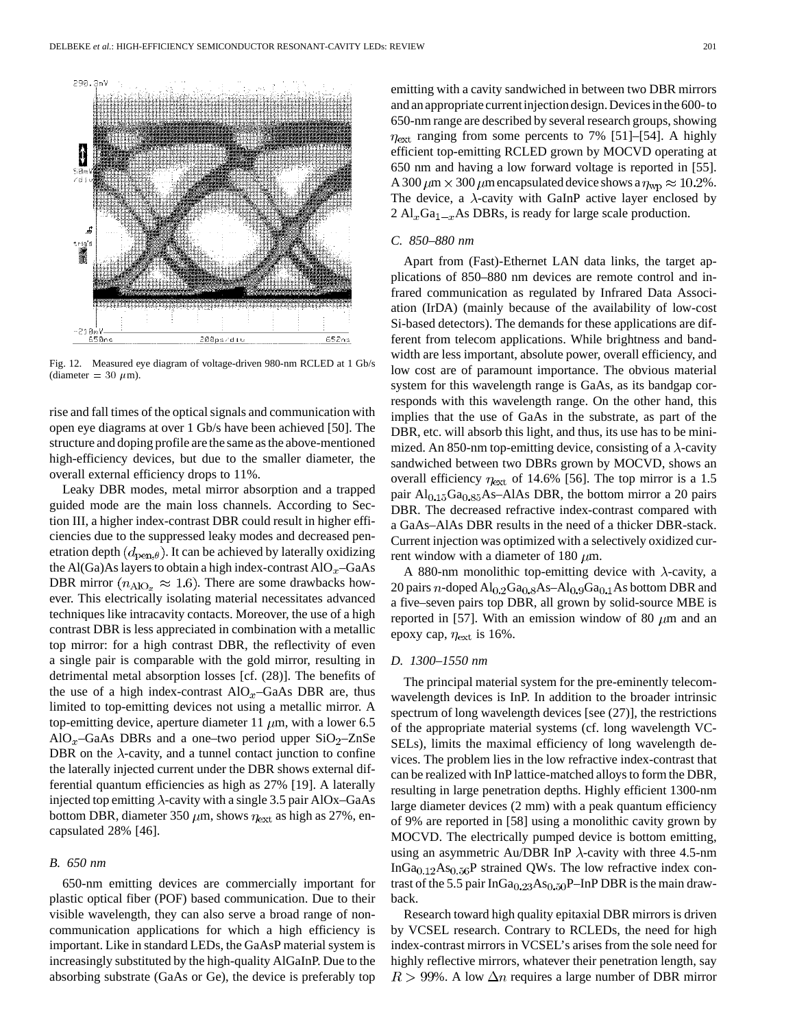

Fig. 12. Measured eye diagram of voltage-driven 980-nm RCLED at 1 Gb/s (diameter  $= 30 \mu m$ ).

rise and fall times of the optical signals and communication with open eye diagrams at over 1 Gb/s have been achieved [50]. The structure and doping profile are the same as the above-mentioned high-efficiency devices, but due to the smaller diameter, the overall external efficiency drops to 11%.

Leaky DBR modes, metal mirror absorption and a trapped guided mode are the main loss channels. According to Section III, a higher index-contrast DBR could result in higher efficiencies due to the suppressed leaky modes and decreased penetration depth  $(d_{pen,\theta})$ . It can be achieved by laterally oxidizing the Al(Ga)As layers to obtain a high index-contrast  $AIO_x-GaAs$ DBR mirror  $(n_{\text{AlO}_x} \approx 1.6)$ . There are some drawbacks however. This electrically isolating material necessitates advanced techniques like intracavity contacts. Moreover, the use of a high contrast DBR is less appreciated in combination with a metallic top mirror: for a high contrast DBR, the reflectivity of even a single pair is comparable with the gold mirror, resulting in detrimental metal absorption losses [cf. (28)]. The benefits of the use of a high index-contrast  $AIO<sub>x</sub>$ -GaAs DBR are, thus limited to top-emitting devices not using a metallic mirror. A top-emitting device, aperture diameter 11  $\mu$ m, with a lower 6.5 AlO<sub>x</sub>-GaAs DBRs and a one–two period upper SiO<sub>2</sub>-ZnSe DBR on the  $\lambda$ -cavity, and a tunnel contact junction to confine the laterally injected current under the DBR shows external differential quantum efficiencies as high as 27% [19]. A laterally injected top emitting  $\lambda$ -cavity with a single 3.5 pair AlOx–GaAs bottom DBR, diameter 350  $\mu$ m, shows  $\eta_{ext}$  as high as 27%, encapsulated 28% [46].

# *B. 650 nm*

650-nm emitting devices are commercially important for plastic optical fiber (POF) based communication. Due to their visible wavelength, they can also serve a broad range of noncommunication applications for which a high efficiency is important. Like in standard LEDs, the GaAsP material system is increasingly substituted by the high-quality AlGaInP. Due to the absorbing substrate (GaAs or Ge), the device is preferably top

emitting with a cavity sandwiched in between two DBR mirrors and anappropriate current injection design. Devices in the 600-to 650-nm range are described by several research groups, showing  $\eta_{\rm ext}$  ranging from some percents to 7% [51]–[54]. A highly efficient top-emitting RCLED grown by MOCVD operating at 650 nm and having a low forward voltage is reported in [55]. A 300  $\mu$ m  $\times$  300  $\mu$ m encapsulated device shows a  $\eta_{\rm WD} \approx 10.2\%$ . The device, a  $\lambda$ -cavity with GaInP active layer enclosed by 2  $\text{Al}_x\text{Ga}_{1-x}$ As DBRs, is ready for large scale production.

## *C. 850–880 nm*

Apart from (Fast)-Ethernet LAN data links, the target applications of 850–880 nm devices are remote control and infrared communication as regulated by Infrared Data Association (IrDA) (mainly because of the availability of low-cost Si-based detectors). The demands for these applications are different from telecom applications. While brightness and bandwidth are less important, absolute power, overall efficiency, and low cost are of paramount importance. The obvious material system for this wavelength range is GaAs, as its bandgap corresponds with this wavelength range. On the other hand, this implies that the use of GaAs in the substrate, as part of the DBR, etc. will absorb this light, and thus, its use has to be minimized. An 850-nm top-emitting device, consisting of a  $\lambda$ -cavity sandwiched between two DBRs grown by MOCVD, shows an overall efficiency  $\eta_{\text{ext}}$  of 14.6% [56]. The top mirror is a 1.5 pair  $Al<sub>0.15</sub>Ga<sub>0.85</sub>As–AlAs DBR, the bottom mirror a 20 pairs$ DBR. The decreased refractive index-contrast compared with a GaAs–AlAs DBR results in the need of a thicker DBR-stack. Current injection was optimized with a selectively oxidized current window with a diameter of 180  $\mu$ m.

A 880-nm monolithic top-emitting device with  $\lambda$ -cavity, a 20 pairs n-doped  $\text{Al}_{0,2}\text{Ga}_{0,8}\text{As}-\text{Al}_{0,9}\text{Ga}_{0,1}\text{As}$  bottom DBR and a five–seven pairs top DBR, all grown by solid-source MBE is reported in [57]. With an emission window of 80  $\mu$ m and an epoxy cap,  $\eta_{\text{ext}}$  is 16%.

#### *D. 1300–1550 nm*

The principal material system for the pre-eminently telecomwavelength devices is InP. In addition to the broader intrinsic spectrum of long wavelength devices [see (27)], the restrictions of the appropriate material systems (cf. long wavelength VC-SELs), limits the maximal efficiency of long wavelength devices. The problem lies in the low refractive index-contrast that can be realized with InP lattice-matched alloys to form the DBR, resulting in large penetration depths. Highly efficient 1300-nm large diameter devices (2 mm) with a peak quantum efficiency of 9% are reported in [58] using a monolithic cavity grown by MOCVD. The electrically pumped device is bottom emitting, using an asymmetric Au/DBR InP  $\lambda$ -cavity with three 4.5-nm InGa $_{0.12}$ As $_{0.56}$ P strained QWs. The low refractive index contrast of the 5.5 pair  $InGa<sub>0.23</sub>As<sub>0.50</sub>P–InP DBR is the main draw$ back.

Research toward high quality epitaxial DBR mirrors is driven by VCSEL research. Contrary to RCLEDs, the need for high index-contrast mirrors in VCSEL's arises from the sole need for highly reflective mirrors, whatever their penetration length, say  $R > 99\%$ . A low  $\Delta n$  requires a large number of DBR mirror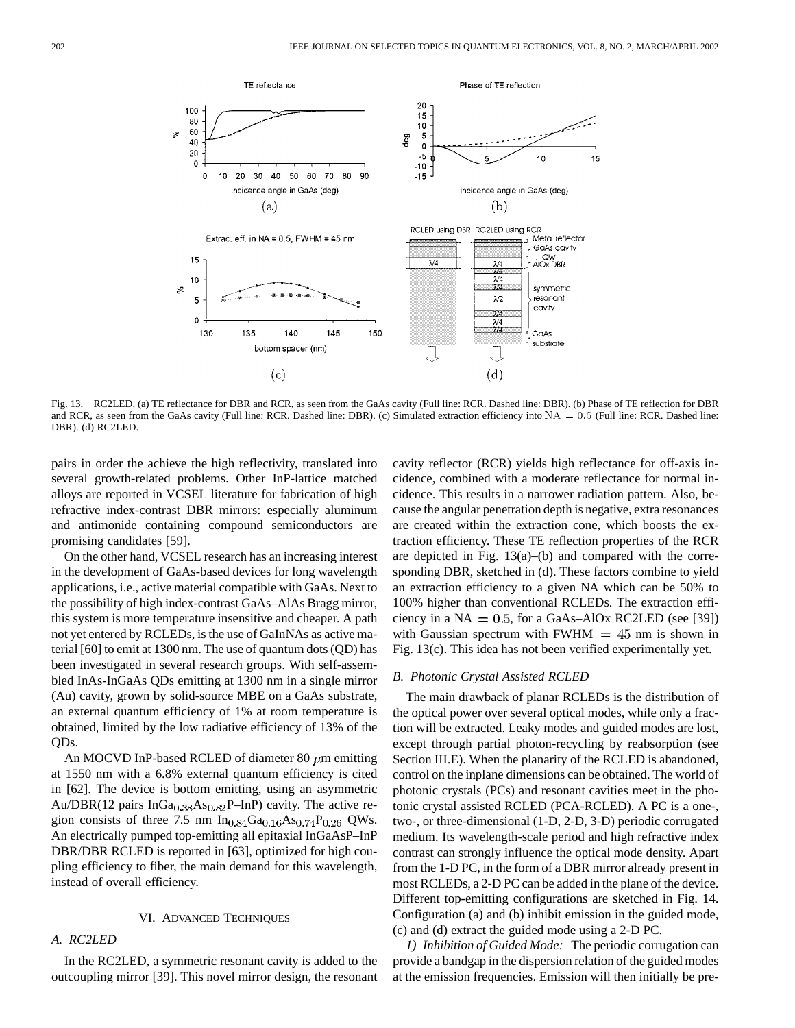

Fig. 13. RC2LED. (a) TE reflectance for DBR and RCR, as seen from the GaAs cavity (Full line: RCR. Dashed line: DBR). (b) Phase of TE reflection for DBR and RCR, as seen from the GaAs cavity (Full line: RCR. Dashed line: DBR). (c) Simulated extraction efficiency into  $NA = 0.5$  (Full line: RCR. Dashed line: DBR). (d) RC2LED.

pairs in order the achieve the high reflectivity, translated into several growth-related problems. Other InP-lattice matched alloys are reported in VCSEL literature for fabrication of high refractive index-contrast DBR mirrors: especially aluminum and antimonide containing compound semiconductors are promising candidates [59].

On the other hand, VCSEL research has an increasing interest in the development of GaAs-based devices for long wavelength applications, i.e., active material compatible with GaAs. Next to the possibility of high index-contrast GaAs–AlAs Bragg mirror, this system is more temperature insensitive and cheaper. A path not yet entered by RCLEDs, is the use of GaInNAs as active material [60] to emit at 1300 nm. The use of quantum dots (QD) has been investigated in several research groups. With self-assembled InAs-InGaAs QDs emitting at 1300 nm in a single mirror (Au) cavity, grown by solid-source MBE on a GaAs substrate, an external quantum efficiency of 1% at room temperature is obtained, limited by the low radiative efficiency of 13% of the QDs.

An MOCVD InP-based RCLED of diameter 80  $\mu$ m emitting at 1550 nm with a 6.8% external quantum efficiency is cited in [62]. The device is bottom emitting, using an asymmetric Au/DBR(12 pairs  $InGa<sub>0.38</sub>As<sub>0.82</sub>P–InP)$  cavity. The active region consists of three 7.5 nm  $In_{0.84}Ga_{0.16}As_{0.74}P_{0.26}$  QWs. An electrically pumped top-emitting all epitaxial InGaAsP–InP DBR/DBR RCLED is reported in [63], optimized for high coupling efficiency to fiber, the main demand for this wavelength, instead of overall efficiency.

#### VI. ADVANCED TECHNIQUES

## *A. RC2LED*

In the RC2LED, a symmetric resonant cavity is added to the outcoupling mirror [39]. This novel mirror design, the resonant cavity reflector (RCR) yields high reflectance for off-axis incidence, combined with a moderate reflectance for normal incidence. This results in a narrower radiation pattern. Also, because the angular penetration depth is negative, extra resonances are created within the extraction cone, which boosts the extraction efficiency. These TE reflection properties of the RCR are depicted in Fig. 13(a)–(b) and compared with the corresponding DBR, sketched in (d). These factors combine to yield an extraction efficiency to a given NA which can be 50% to 100% higher than conventional RCLEDs. The extraction efficiency in a NA  $= 0.5$ , for a GaAs–AlOx RC2LED (see [39]) with Gaussian spectrum with FWHM  $=$  45 nm is shown in Fig. 13(c). This idea has not been verified experimentally yet.

## *B. Photonic Crystal Assisted RCLED*

The main drawback of planar RCLEDs is the distribution of the optical power over several optical modes, while only a fraction will be extracted. Leaky modes and guided modes are lost, except through partial photon-recycling by reabsorption (see Section III.E). When the planarity of the RCLED is abandoned, control on the inplane dimensions can be obtained. The world of photonic crystals (PCs) and resonant cavities meet in the photonic crystal assisted RCLED (PCA-RCLED). A PC is a one-, two-, or three-dimensional (1-D, 2-D, 3-D) periodic corrugated medium. Its wavelength-scale period and high refractive index contrast can strongly influence the optical mode density. Apart from the 1-D PC, in the form of a DBR mirror already present in most RCLEDs, a 2-D PC can be added in the plane of the device. Different top-emitting configurations are sketched in Fig. 14. Configuration (a) and (b) inhibit emission in the guided mode, (c) and (d) extract the guided mode using a 2-D PC.

*1) Inhibition of Guided Mode:* The periodic corrugation can provide a bandgap in the dispersion relation of the guided modes at the emission frequencies. Emission will then initially be pre-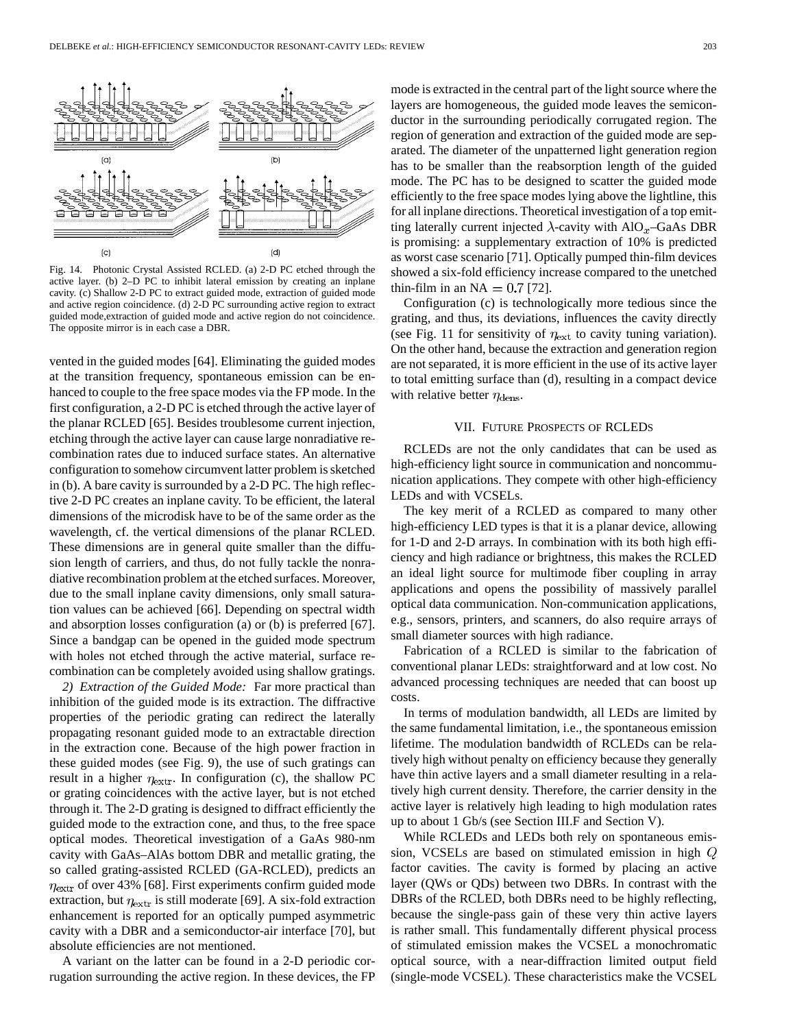

Fig. 14. Photonic Crystal Assisted RCLED. (a) 2-D PC etched through the active layer. (b) 2–D PC to inhibit lateral emission by creating an inplane cavity. (c) Shallow 2-D PC to extract guided mode, extraction of guided mode and active region coincidence. (d) 2-D PC surrounding active region to extract guided mode,extraction of guided mode and active region do not coincidence. The opposite mirror is in each case a DBR.

vented in the guided modes [64]. Eliminating the guided modes at the transition frequency, spontaneous emission can be enhanced to couple to the free space modes via the FP mode. In the first configuration, a 2-D PC is etched through the active layer of the planar RCLED [65]. Besides troublesome current injection, etching through the active layer can cause large nonradiative recombination rates due to induced surface states. An alternative configuration to somehow circumvent latter problem is sketched in (b). A bare cavity is surrounded by a 2-D PC. The high reflective 2-D PC creates an inplane cavity. To be efficient, the lateral dimensions of the microdisk have to be of the same order as the wavelength, cf. the vertical dimensions of the planar RCLED. These dimensions are in general quite smaller than the diffusion length of carriers, and thus, do not fully tackle the nonradiative recombination problem at the etched surfaces. Moreover, due to the small inplane cavity dimensions, only small saturation values can be achieved [66]. Depending on spectral width and absorption losses configuration (a) or (b) is preferred [67]. Since a bandgap can be opened in the guided mode spectrum with holes not etched through the active material, surface recombination can be completely avoided using shallow gratings.

*2) Extraction of the Guided Mode:* Far more practical than inhibition of the guided mode is its extraction. The diffractive properties of the periodic grating can redirect the laterally propagating resonant guided mode to an extractable direction in the extraction cone. Because of the high power fraction in these guided modes (see Fig. 9), the use of such gratings can result in a higher  $\eta_{\text{extr}}$ . In configuration (c), the shallow PC or grating coincidences with the active layer, but is not etched through it. The 2-D grating is designed to diffract efficiently the guided mode to the extraction cone, and thus, to the free space optical modes. Theoretical investigation of a GaAs 980-nm cavity with GaAs–AlAs bottom DBR and metallic grating, the so called grating-assisted RCLED (GA-RCLED), predicts an  $\eta_{\text{extr}}$  of over 43% [68]. First experiments confirm guided mode extraction, but  $\eta_{\text{extr}}$  is still moderate [69]. A six-fold extraction enhancement is reported for an optically pumped asymmetric cavity with a DBR and a semiconductor-air interface [70], but absolute efficiencies are not mentioned.

A variant on the latter can be found in a 2-D periodic corrugation surrounding the active region. In these devices, the FP mode is extracted in the central part of the light source where the layers are homogeneous, the guided mode leaves the semiconductor in the surrounding periodically corrugated region. The region of generation and extraction of the guided mode are separated. The diameter of the unpatterned light generation region has to be smaller than the reabsorption length of the guided mode. The PC has to be designed to scatter the guided mode efficiently to the free space modes lying above the lightline, this for all inplane directions. Theoretical investigation of a top emitting laterally current injected  $\lambda$ -cavity with AlO<sub>x</sub>-GaAs DBR is promising: a supplementary extraction of 10% is predicted as worst case scenario [71]. Optically pumped thin-film devices showed a six-fold efficiency increase compared to the unetched thin-film in an  $NA = 0.7$  [72].

Configuration (c) is technologically more tedious since the grating, and thus, its deviations, influences the cavity directly (see Fig. 11 for sensitivity of  $\eta_{\text{ext}}$  to cavity tuning variation). On the other hand, because the extraction and generation region are not separated, it is more efficient in the use of its active layer to total emitting surface than (d), resulting in a compact device with relative better  $\eta_{\text{dens}}$ .

## VII. FUTURE PROSPECTS OF RCLEDS

RCLEDs are not the only candidates that can be used as high-efficiency light source in communication and noncommunication applications. They compete with other high-efficiency LEDs and with VCSELs.

The key merit of a RCLED as compared to many other high-efficiency LED types is that it is a planar device, allowing for 1-D and 2-D arrays. In combination with its both high efficiency and high radiance or brightness, this makes the RCLED an ideal light source for multimode fiber coupling in array applications and opens the possibility of massively parallel optical data communication. Non-communication applications, e.g., sensors, printers, and scanners, do also require arrays of small diameter sources with high radiance.

Fabrication of a RCLED is similar to the fabrication of conventional planar LEDs: straightforward and at low cost. No advanced processing techniques are needed that can boost up costs.

In terms of modulation bandwidth, all LEDs are limited by the same fundamental limitation, i.e., the spontaneous emission lifetime. The modulation bandwidth of RCLEDs can be relatively high without penalty on efficiency because they generally have thin active layers and a small diameter resulting in a relatively high current density. Therefore, the carrier density in the active layer is relatively high leading to high modulation rates up to about 1 Gb/s (see Section III.F and Section V).

While RCLEDs and LEDs both rely on spontaneous emission, VCSELs are based on stimulated emission in high factor cavities. The cavity is formed by placing an active layer (QWs or QDs) between two DBRs. In contrast with the DBRs of the RCLED, both DBRs need to be highly reflecting, because the single-pass gain of these very thin active layers is rather small. This fundamentally different physical process of stimulated emission makes the VCSEL a monochromatic optical source, with a near-diffraction limited output field (single-mode VCSEL). These characteristics make the VCSEL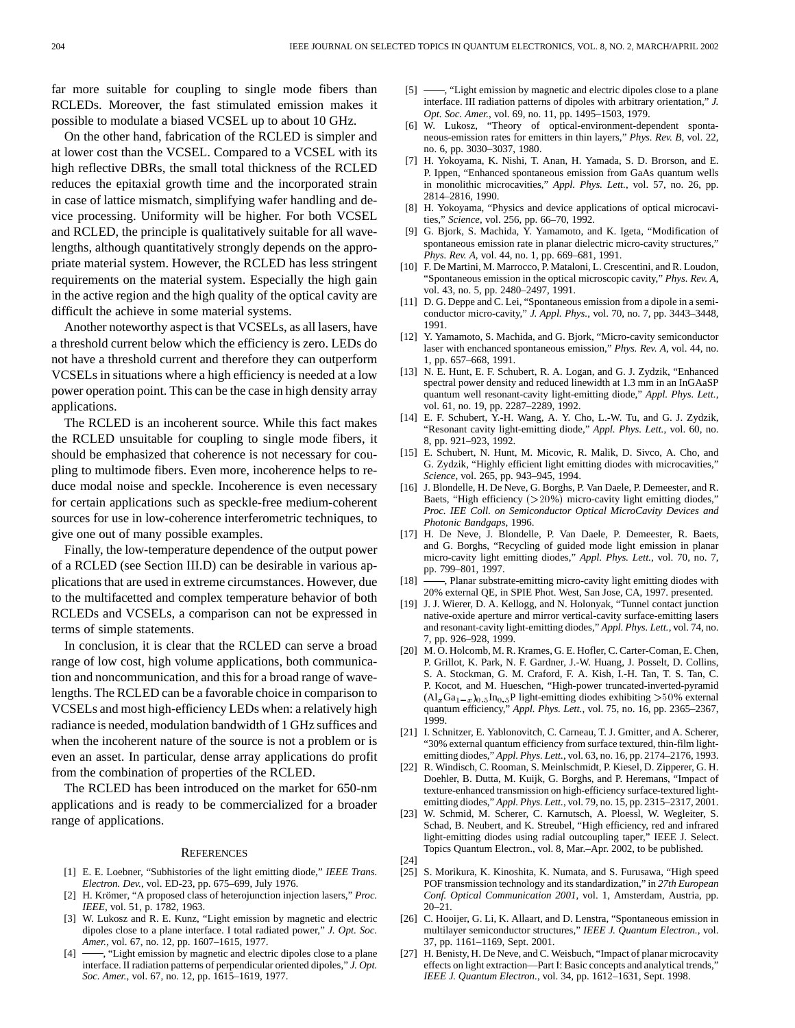far more suitable for coupling to single mode fibers than RCLEDs. Moreover, the fast stimulated emission makes it possible to modulate a biased VCSEL up to about 10 GHz.

On the other hand, fabrication of the RCLED is simpler and at lower cost than the VCSEL. Compared to a VCSEL with its high reflective DBRs, the small total thickness of the RCLED reduces the epitaxial growth time and the incorporated strain in case of lattice mismatch, simplifying wafer handling and device processing. Uniformity will be higher. For both VCSEL and RCLED, the principle is qualitatively suitable for all wavelengths, although quantitatively strongly depends on the appropriate material system. However, the RCLED has less stringent requirements on the material system. Especially the high gain in the active region and the high quality of the optical cavity are difficult the achieve in some material systems.

Another noteworthy aspect is that VCSELs, as all lasers, have a threshold current below which the efficiency is zero. LEDs do not have a threshold current and therefore they can outperform VCSELs in situations where a high efficiency is needed at a low power operation point. This can be the case in high density array applications.

The RCLED is an incoherent source. While this fact makes the RCLED unsuitable for coupling to single mode fibers, it should be emphasized that coherence is not necessary for coupling to multimode fibers. Even more, incoherence helps to reduce modal noise and speckle. Incoherence is even necessary for certain applications such as speckle-free medium-coherent sources for use in low-coherence interferometric techniques, to give one out of many possible examples.

Finally, the low-temperature dependence of the output power of a RCLED (see Section III.D) can be desirable in various applications that are used in extreme circumstances. However, due to the multifacetted and complex temperature behavior of both RCLEDs and VCSELs, a comparison can not be expressed in terms of simple statements.

In conclusion, it is clear that the RCLED can serve a broad range of low cost, high volume applications, both communication and noncommunication, and this for a broad range of wavelengths. The RCLED can be a favorable choice in comparison to VCSELs and most high-efficiency LEDs when: a relatively high radiance is needed, modulation bandwidth of 1 GHz suffices and when the incoherent nature of the source is not a problem or is even an asset. In particular, dense array applications do profit from the combination of properties of the RCLED.

The RCLED has been introduced on the market for 650-nm applications and is ready to be commercialized for a broader range of applications.

#### **REFERENCES**

- [1] E. E. Loebner, "Subhistories of the light emitting diode," *IEEE Trans. Electron. Dev.*, vol. ED-23, pp. 675–699, July 1976.
- [2] H. Krömer, "A proposed class of heterojunction injection lasers," *Proc. IEEE*, vol. 51, p. 1782, 1963.
- [3] W. Lukosz and R. E. Kunz, "Light emission by magnetic and electric dipoles close to a plane interface. I total radiated power," *J. Opt. Soc. Amer.*, vol. 67, no. 12, pp. 1607–1615, 1977.
- [4]  $\longrightarrow$ , "Light emission by magnetic and electric dipoles close to a plane interface. II radiation patterns of perpendicular oriented dipoles," *J. Opt. Soc. Amer.*, vol. 67, no. 12, pp. 1615–1619, 1977.
- [5]  $\longrightarrow$ , "Light emission by magnetic and electric dipoles close to a plane interface. III radiation patterns of dipoles with arbitrary orientation," *J. Opt. Soc. Amer.*, vol. 69, no. 11, pp. 1495–1503, 1979.
- [6] W. Lukosz, "Theory of optical-environment-dependent spontaneous-emission rates for emitters in thin layers," *Phys. Rev. B*, vol. 22, no. 6, pp. 3030–3037, 1980.
- [7] H. Yokoyama, K. Nishi, T. Anan, H. Yamada, S. D. Brorson, and E. P. Ippen, "Enhanced spontaneous emission from GaAs quantum wells in monolithic microcavities," *Appl. Phys. Lett.*, vol. 57, no. 26, pp. 2814–2816, 1990.
- [8] H. Yokoyama, "Physics and device applications of optical microcavities," *Science*, vol. 256, pp. 66–70, 1992.
- [9] G. Bjork, S. Machida, Y. Yamamoto, and K. Igeta, "Modification of spontaneous emission rate in planar dielectric micro-cavity structures," *Phys. Rev. A*, vol. 44, no. 1, pp. 669–681, 1991.
- [10] F. De Martini, M. Marrocco, P. Mataloni, L. Crescentini, and R. Loudon, "Spontaneous emission in the optical microscopic cavity," *Phys. Rev. A*, vol. 43, no. 5, pp. 2480–2497, 1991.
- [11] D. G. Deppe and C. Lei, "Spontaneous emission from a dipole in a semiconductor micro-cavity," *J. Appl. Phys.*, vol. 70, no. 7, pp. 3443–3448, 1991.
- [12] Y. Yamamoto, S. Machida, and G. Bjork, "Micro-cavity semiconductor laser with enchanced spontaneous emission," *Phys. Rev. A*, vol. 44, no. 1, pp. 657–668, 1991.
- [13] N. E. Hunt, E. F. Schubert, R. A. Logan, and G. J. Zydzik, "Enhanced spectral power density and reduced linewidth at 1.3 mm in an InGAaSP quantum well resonant-cavity light-emitting diode," *Appl. Phys. Lett.*, vol. 61, no. 19, pp. 2287–2289, 1992.
- [14] E. F. Schubert, Y.-H. Wang, A. Y. Cho, L.-W. Tu, and G. J. Zydzik, "Resonant cavity light-emitting diode," *Appl. Phys. Lett.*, vol. 60, no. 8, pp. 921–923, 1992.
- [15] E. Schubert, N. Hunt, M. Micovic, R. Malik, D. Sivco, A. Cho, and G. Zydzik, "Highly efficient light emitting diodes with microcavities," *Science*, vol. 265, pp. 943–945, 1994.
- [16] J. Blondelle, H. De Neve, G. Borghs, P. Van Daele, P. Demeester, and R. Baets, "High efficiency  $(>20\%)$  micro-cavity light emitting diodes," *Proc. IEE Coll. on Semiconductor Optical MicroCavity Devices and Photonic Bandgaps*, 1996.
- [17] H. De Neve, J. Blondelle, P. Van Daele, P. Demeester, R. Baets, and G. Borghs, "Recycling of guided mode light emission in planar micro-cavity light emitting diodes," *Appl. Phys. Lett.*, vol. 70, no. 7, pp. 799–801, 1997.
- [18]  $\rightarrow$ , Planar substrate-emitting micro-cavity light emitting diodes with 20% external QE, in SPIE Phot. West, San Jose, CA, 1997. presented.
- [19] J. J. Wierer, D. A. Kellogg, and N. Holonyak, "Tunnel contact junction native-oxide aperture and mirror vertical-cavity surface-emitting lasers and resonant-cavity light-emitting diodes," *Appl. Phys. Lett.*, vol. 74, no. 7, pp. 926–928, 1999.
- [20] M. O. Holcomb, M. R. Krames, G. E. Hofler, C. Carter-Coman, E. Chen, P. Grillot, K. Park, N. F. Gardner, J.-W. Huang, J. Posselt, D. Collins, S. A. Stockman, G. M. Craford, F. A. Kish, I.-H. Tan, T. S. Tan, C. P. Kocot, and M. Hueschen, "High-power truncated-inverted-pyramid  $(Al_x Ga_{1-x})_{0.5}$  In<sub>0.5</sub>P light-emitting diodes exhibiting >50% external quantum efficiency," *Appl. Phys. Lett.*, vol. 75, no. 16, pp. 2365–2367, 1999.
- [21] I. Schnitzer, E. Yablonovitch, C. Carneau, T. J. Gmitter, and A. Scherer, "30% external quantum efficiency from surface textured, thin-film lightemitting diodes," *Appl. Phys. Lett.*, vol. 63, no. 16, pp. 2174–2176, 1993.
- [22] R. Windisch, C. Rooman, S. Meinlschmidt, P. Kiesel, D. Zipperer, G. H. Doehler, B. Dutta, M. Kuijk, G. Borghs, and P. Heremans, "Impact of texture-enhanced transmission on high-efficiency surface-textured lightemitting diodes," *Appl. Phys. Lett.*, vol. 79, no. 15, pp. 2315–2317, 2001.
- [23] W. Schmid, M. Scherer, C. Karnutsch, A. Ploessl, W. Wegleiter, S. Schad, B. Neubert, and K. Streubel, "High efficiency, red and infrared light-emitting diodes using radial outcoupling taper," IEEE J. Select. Topics Quantum Electron., vol. 8, Mar.–Apr. 2002, to be published. [24]
- [25] S. Morikura, K. Kinoshita, K. Numata, and S. Furusawa, "High speed POF transmission technology and its standardization," in *27th European Conf. Optical Communication 2001*, vol. 1, Amsterdam, Austria, pp. 20–21.
- [26] C. Hooijer, G. Li, K. Allaart, and D. Lenstra, "Spontaneous emission in multilayer semiconductor structures," *IEEE J. Quantum Electron.*, vol. 37, pp. 1161–1169, Sept. 2001.
- [27] H. Benisty, H. De Neve, and C. Weisbuch, "Impact of planar microcavity effects on light extraction—Part I: Basic concepts and analytical trends," *IEEE J. Quantum Electron.*, vol. 34, pp. 1612–1631, Sept. 1998.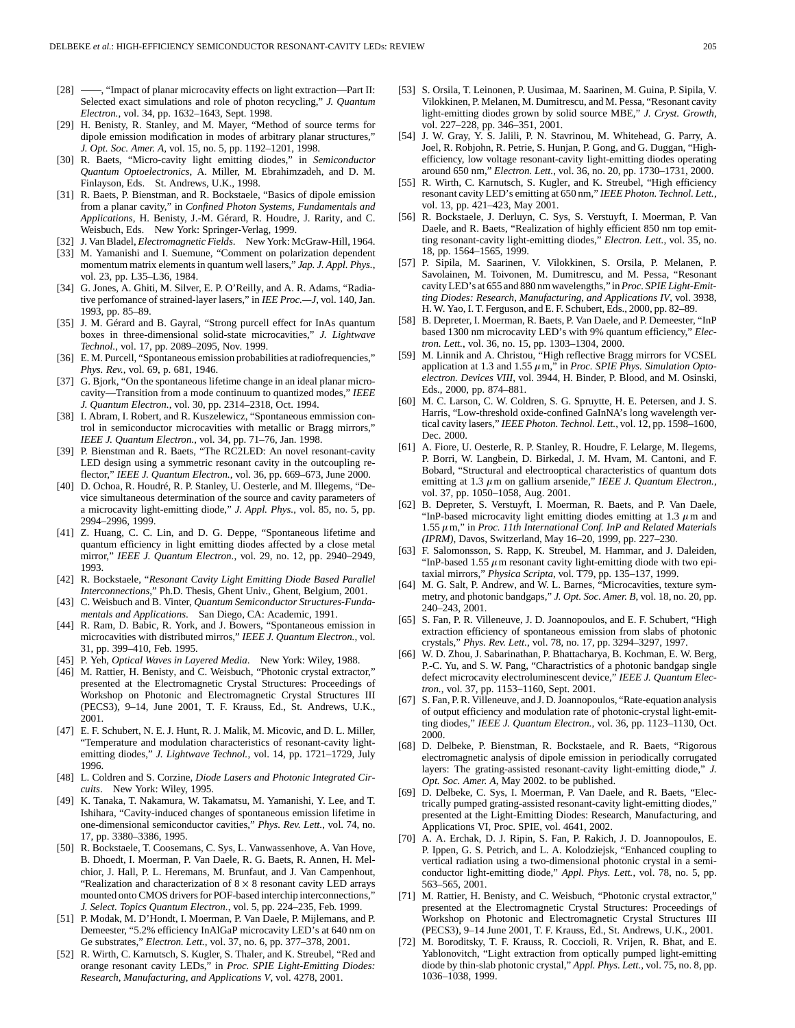- [28] -, "Impact of planar microcavity effects on light extraction-Part II: Selected exact simulations and role of photon recycling," *J. Quantum Electron.*, vol. 34, pp. 1632–1643, Sept. 1998.
- [29] H. Benisty, R. Stanley, and M. Mayer, "Method of source terms for dipole emission modification in modes of arbitrary planar structures," *J. Opt. Soc. Amer. A*, vol. 15, no. 5, pp. 1192–1201, 1998.
- [30] R. Baets, "Micro-cavity light emitting diodes," in *Semiconductor Quantum Optoelectronics*, A. Miller, M. Ebrahimzadeh, and D. M. Finlayson, Eds. St. Andrews, U.K., 1998.
- [31] R. Baets, P. Bienstman, and R. Bockstaele, "Basics of dipole emission from a planar cavity," in *Confined Photon Systems, Fundamentals and Applications*, H. Benisty, J.-M. Gérard, R. Houdre, J. Rarity, and C. Weisbuch, Eds. New York: Springer-Verlag, 1999.
- [32] J. Van Bladel, *Electromagnetic Fields*. New York: McGraw-Hill, 1964.
- [33] M. Yamanishi and I. Suemune, "Comment on polarization dependent momentum matrix elements in quantum well lasers," *Jap. J. Appl. Phys.*, vol. 23, pp. L35–L36, 1984.
- [34] G. Jones, A. Ghiti, M. Silver, E. P. O'Reilly, and A. R. Adams, "Radiative perfomance of strained-layer lasers," in *IEE Proc.—J*, vol. 140, Jan. 1993, pp. 85–89.
- [35] J. M. Gérard and B. Gayral, "Strong purcell effect for InAs quantum boxes in three-dimensional solid-state microcavities," *J. Lightwave Technol.*, vol. 17, pp. 2089–2095, Nov. 1999.
- [36] E. M. Purcell, "Spontaneous emission probabilities at radiofrequencies," *Phys. Rev.*, vol. 69, p. 681, 1946.
- [37] G. Bjork, "On the spontaneous lifetime change in an ideal planar microcavity—Transition from a mode continuum to quantized modes," *IEEE J. Quantum Electron.*, vol. 30, pp. 2314–2318, Oct. 1994.
- [38] I. Abram, I. Robert, and R. Kuszelewicz, "Spontaneous emmission control in semiconductor microcavities with metallic or Bragg mirrors," *IEEE J. Quantum Electron.*, vol. 34, pp. 71–76, Jan. 1998.
- [39] P. Bienstman and R. Baets, "The RC2LED: An novel resonant-cavity LED design using a symmetric resonant cavity in the outcoupling reflector," *IEEE J. Quantum Electron.*, vol. 36, pp. 669–673, June 2000.
- [40] D. Ochoa, R. Houdré, R. P. Stanley, U. Oesterle, and M. Illegems, "Device simultaneous determination of the source and cavity parameters of a microcavity light-emitting diode," *J. Appl. Phys.*, vol. 85, no. 5, pp. 2994–2996, 1999.
- [41] Z. Huang, C. C. Lin, and D. G. Deppe, "Spontaneous lifetime and quantum efficiency in light emitting diodes affected by a close metal mirror," *IEEE J. Quantum Electron.*, vol. 29, no. 12, pp. 2940–2949, 1993.
- [42] R. Bockstaele, "*Resonant Cavity Light Emitting Diode Based Parallel Interconnections*," Ph.D. Thesis, Ghent Univ., Ghent, Belgium, 2001.
- [43] C. Weisbuch and B. Vinter, *Quantum Semiconductor Structures-Fundamentals and Applications*. San Diego, CA: Academic, 1991.
- [44] R. Ram, D. Babic, R. York, and J. Bowers, "Spontaneous emission in microcavities with distributed mirros," *IEEE J. Quantum Electron.*, vol. 31, pp. 399–410, Feb. 1995.
- [45] P. Yeh, *Optical Waves in Layered Media*. New York: Wiley, 1988.
- [46] M. Rattier, H. Benisty, and C. Weisbuch, "Photonic crystal extractor," presented at the Electromagnetic Crystal Structures: Proceedings of Workshop on Photonic and Electromagnetic Crystal Structures III (PECS3), 9–14, June 2001, T. F. Krauss, Ed., St. Andrews, U.K., 2001.
- [47] E. F. Schubert, N. E. J. Hunt, R. J. Malik, M. Micovic, and D. L. Miller, "Temperature and modulation characteristics of resonant-cavity lightemitting diodes," *J. Lightwave Technol.*, vol. 14, pp. 1721–1729, July 1996.
- [48] L. Coldren and S. Corzine, *Diode Lasers and Photonic Integrated Circuits*. New York: Wiley, 1995.
- [49] K. Tanaka, T. Nakamura, W. Takamatsu, M. Yamanishi, Y. Lee, and T. Ishihara, "Cavity-induced changes of spontaneous emission lifetime in one-dimensional semiconductor cavities," *Phys. Rev. Lett.*, vol. 74, no. 17, pp. 3380–3386, 1995.
- [50] R. Bockstaele, T. Coosemans, C. Sys, L. Vanwassenhove, A. Van Hove, B. Dhoedt, I. Moerman, P. Van Daele, R. G. Baets, R. Annen, H. Melchior, J. Hall, P. L. Heremans, M. Brunfaut, and J. Van Campenhout, "Realization and characterization of  $8 \times 8$  resonant cavity LED arrays mounted onto CMOS drivers for POF-based interchip interconnections," *J. Select. Topics Quantum Electron.*, vol. 5, pp. 224–235, Feb. 1999.
- [51] P. Modak, M. D'Hondt, I. Moerman, P. Van Daele, P. Mijlemans, and P. Demeester, "5.2% efficiency InAlGaP microcavity LED's at 640 nm on Ge substrates," *Electron. Lett.*, vol. 37, no. 6, pp. 377–378, 2001.
- [52] R. Wirth, C. Karnutsch, S. Kugler, S. Thaler, and K. Streubel, "Red and orange resonant cavity LEDs," in *Proc. SPIE Light-Emitting Diodes: Research, Manufacturing, and Applications V*, vol. 4278, 2001.
- [53] S. Orsila, T. Leinonen, P. Uusimaa, M. Saarinen, M. Guina, P. Sipila, V. Vilokkinen, P. Melanen, M. Dumitrescu, and M. Pessa, "Resonant cavity light-emitting diodes grown by solid source MBE," *J. Cryst. Growth*, vol. 227–228, pp. 346–351, 2001.
- [54] J. W. Gray, Y. S. Jalili, P. N. Stavrinou, M. Whitehead, G. Parry, A. Joel, R. Robjohn, R. Petrie, S. Hunjan, P. Gong, and G. Duggan, "Highefficiency, low voltage resonant-cavity light-emitting diodes operating around 650 nm," *Electron. Lett.*, vol. 36, no. 20, pp. 1730–1731, 2000.
- [55] R. Wirth, C. Karnutsch, S. Kugler, and K. Streubel, "High efficiency resonant cavity LED's emitting at 650 nm," *IEEE Photon. Technol. Lett.*, vol. 13, pp. 421–423, May 2001.
- [56] R. Bockstaele, J. Derluyn, C. Sys, S. Verstuyft, I. Moerman, P. Van Daele, and R. Baets, "Realization of highly efficient 850 nm top emitting resonant-cavity light-emitting diodes," *Electron. Lett.*, vol. 35, no. 18, pp. 1564–1565, 1999.
- [57] P. Sipila, M. Saarinen, V. Vilokkinen, S. Orsila, P. Melanen, P. Savolainen, M. Toivonen, M. Dumitrescu, and M. Pessa, "Resonant cavity LED's at 655 and 880 nm wavelengths," in*Proc. SPIE Light-Emitting Diodes: Research, Manufacturing, and Applications IV*, vol. 3938, H. W. Yao, I. T. Ferguson, and E. F. Schubert, Eds., 2000, pp. 82–89.
- [58] B. Depreter, I. Moerman, R. Baets, P. Van Daele, and P. Demeester, "InP based 1300 nm microcavity LED's with 9% quantum efficiency," *Electron. Lett.*, vol. 36, no. 15, pp. 1303-1304, 2000.
- [59] M. Linnik and A. Christou, "High reflective Bragg mirrors for VCSEL application at 1.3 and 1.55  $\mu$ m," in *Proc. SPIE Phys. Simulation Optoelectron. Devices VIII*, vol. 3944, H. Binder, P. Blood, and M. Osinski, Eds., 2000, pp. 874–881.
- [60] M. C. Larson, C. W. Coldren, S. G. Spruytte, H. E. Petersen, and J. S. Harris, "Low-threshold oxide-confined GaInNA's long wavelength vertical cavity lasers," *IEEE Photon. Technol. Lett.*, vol. 12, pp. 1598–1600, Dec. 2000.
- [61] A. Fiore, U. Oesterle, R. P. Stanley, R. Houdre, F. Lelarge, M. Ilegems, P. Borri, W. Langbein, D. Birkedal, J. M. Hvam, M. Cantoni, and F. Bobard, "Structural and electrooptical characteristics of quantum dots emitting at  $1.3 \mu$ m on gallium arsenide," *IEEE J. Quantum Electron.*, vol. 37, pp. 1050–1058, Aug. 2001.
- [62] B. Depreter, S. Verstuyft, I. Moerman, R. Baets, and P. Van Daele, "InP-based microcavity light emitting diodes emitting at 1.3  $\mu$ m and 1.55 μm," in *Proc. 11th International Conf. InP and Related Materials (IPRM)*, Davos, Switzerland, May 16–20, 1999, pp. 227–230.
- [63] F. Salomonsson, S. Rapp, K. Streubel, M. Hammar, and J. Daleiden, "InP-based 1.55  $\mu$  m resonant cavity light-emitting diode with two epitaxial mirrors," *Physica Scripta*, vol. T79, pp. 135–137, 1999.
- [64] M. G. Salt, P. Andrew, and W. L. Barnes, "Microcavities, texture symmetry, and photonic bandgaps," *J. Opt. Soc. Amer. B*, vol. 18, no. 20, pp. 240–243, 2001.
- [65] S. Fan, P. R. Villeneuve, J. D. Joannopoulos, and E. F. Schubert, "High extraction efficiency of spontaneous emission from slabs of photonic crystals," *Phys. Rev. Lett.*, vol. 78, no. 17, pp. 3294–3297, 1997.
- [66] W. D. Zhou, J. Sabarinathan, P. Bhattacharya, B. Kochman, E. W. Berg, P.-C. Yu, and S. W. Pang, "Charactristics of a photonic bandgap single defect microcavity electroluminescent device," *IEEE J. Quantum Electron.*, vol. 37, pp. 1153–1160, Sept. 2001.
- [67] S. Fan, P. R. Villeneuve, and J. D. Joannopoulos, "Rate-equation analysis of output efficiency and modulation rate of photonic-crystal light-emitting diodes," *IEEE J. Quantum Electron.*, vol. 36, pp. 1123–1130, Oct. 2000.
- [68] D. Delbeke, P. Bienstman, R. Bockstaele, and R. Baets, "Rigorous electromagnetic analysis of dipole emission in periodically corrugated layers: The grating-assisted resonant-cavity light-emitting diode," *J. Opt. Soc. Amer. A*, May 2002. to be published.
- [69] D. Delbeke, C. Sys, I. Moerman, P. Van Daele, and R. Baets, "Electrically pumped grating-assisted resonant-cavity light-emitting diodes," presented at the Light-Emitting Diodes: Research, Manufacturing, and Applications VI, Proc. SPIE, vol. 4641, 2002.
- [70] A. A. Erchak, D. J. Ripin, S. Fan, P. Rakich, J. D. Joannopoulos, E. P. Ippen, G. S. Petrich, and L. A. Kolodziejsk, "Enhanced coupling to vertical radiation using a two-dimensional photonic crystal in a semiconductor light-emitting diode," *Appl. Phys. Lett.*, vol. 78, no. 5, pp. 563–565, 2001.
- [71] M. Rattier, H. Benisty, and C. Weisbuch, "Photonic crystal extractor," presented at the Electromagnetic Crystal Structures: Proceedings of Workshop on Photonic and Electromagnetic Crystal Structures III (PECS3), 9–14 June 2001, T. F. Krauss, Ed., St. Andrews, U.K., 2001.
- [72] M. Boroditsky, T. F. Krauss, R. Coccioli, R. Vrijen, R. Bhat, and E. Yablonovitch, "Light extraction from optically pumped light-emitting diode by thin-slab photonic crystal," *Appl. Phys. Lett.*, vol. 75, no. 8, pp. 1036–1038, 1999.